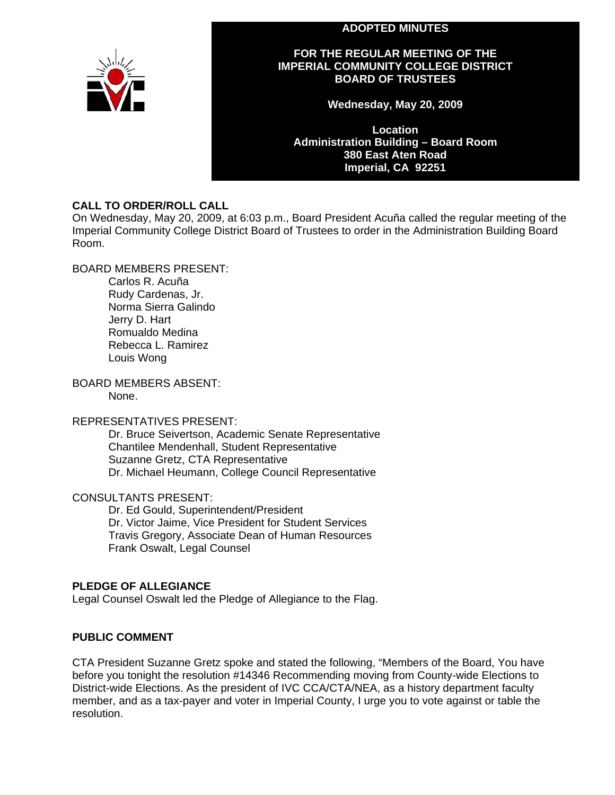#### **ADOPTED MINUTES**



#### **FOR THE REGULAR MEETING OF THE IMPERIAL COMMUNITY COLLEGE DISTRICT BOARD OF TRUSTEES**

**Wednesday, May 20, 2009** 

**Location Administration Building – Board Room 380 East Aten Road Imperial, CA 92251** 

#### **CALL TO ORDER/ROLL CALL**

On Wednesday, May 20, 2009, at 6:03 p.m., Board President Acuña called the regular meeting of the Imperial Community College District Board of Trustees to order in the Administration Building Board Room.

BOARD MEMBERS PRESENT:

Carlos R. Acuña Rudy Cardenas, Jr. Norma Sierra Galindo Jerry D. Hart Romualdo Medina Rebecca L. Ramirez Louis Wong

BOARD MEMBERS ABSENT:

None.

#### REPRESENTATIVES PRESENT:

Dr. Bruce Seivertson, Academic Senate Representative Chantilee Mendenhall, Student Representative Suzanne Gretz, CTA Representative Dr. Michael Heumann, College Council Representative

CONSULTANTS PRESENT:

Dr. Ed Gould, Superintendent/President Dr. Victor Jaime, Vice President for Student Services Travis Gregory, Associate Dean of Human Resources Frank Oswalt, Legal Counsel

#### **PLEDGE OF ALLEGIANCE**

Legal Counsel Oswalt led the Pledge of Allegiance to the Flag.

#### **PUBLIC COMMENT**

CTA President Suzanne Gretz spoke and stated the following, "Members of the Board, You have before you tonight the resolution #14346 Recommending moving from County-wide Elections to District-wide Elections. As the president of IVC CCA/CTA/NEA, as a history department faculty member, and as a tax-payer and voter in Imperial County, I urge you to vote against or table the resolution.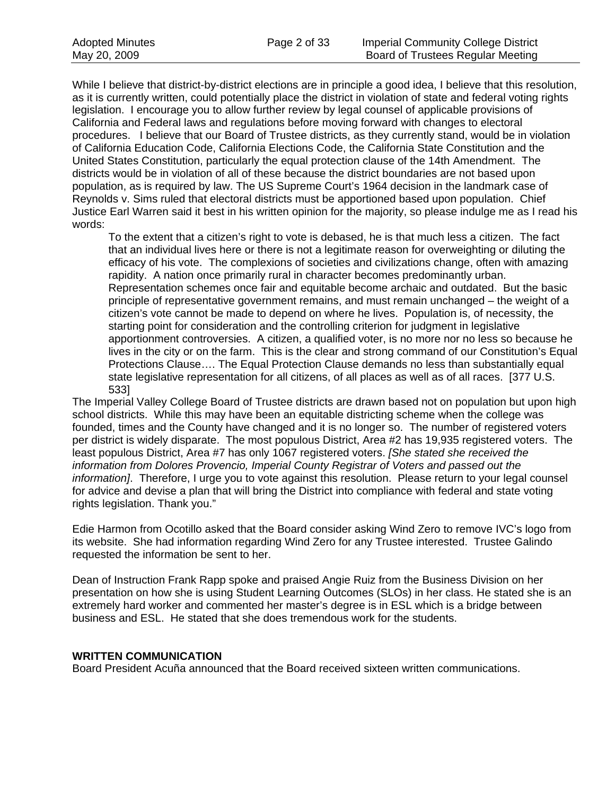While I believe that district-by-district elections are in principle a good idea, I believe that this resolution, as it is currently written, could potentially place the district in violation of state and federal voting rights legislation. I encourage you to allow further review by legal counsel of applicable provisions of California and Federal laws and regulations before moving forward with changes to electoral procedures. I believe that our Board of Trustee districts, as they currently stand, would be in violation of California Education Code, California Elections Code, the California State Constitution and the United States Constitution, particularly the equal protection clause of the 14th Amendment. The districts would be in violation of all of these because the district boundaries are not based upon population, as is required by law. The US Supreme Court's 1964 decision in the landmark case of Reynolds v. Sims ruled that electoral districts must be apportioned based upon population. Chief Justice Earl Warren said it best in his written opinion for the majority, so please indulge me as I read his words:

To the extent that a citizen's right to vote is debased, he is that much less a citizen. The fact that an individual lives here or there is not a legitimate reason for overweighting or diluting the efficacy of his vote. The complexions of societies and civilizations change, often with amazing rapidity. A nation once primarily rural in character becomes predominantly urban. Representation schemes once fair and equitable become archaic and outdated. But the basic principle of representative government remains, and must remain unchanged – the weight of a citizen's vote cannot be made to depend on where he lives. Population is, of necessity, the starting point for consideration and the controlling criterion for judgment in legislative apportionment controversies. A citizen, a qualified voter, is no more nor no less so because he lives in the city or on the farm. This is the clear and strong command of our Constitution's Equal Protections Clause…. The Equal Protection Clause demands no less than substantially equal state legislative representation for all citizens, of all places as well as of all races. [377 U.S. 533]

The Imperial Valley College Board of Trustee districts are drawn based not on population but upon high school districts. While this may have been an equitable districting scheme when the college was founded, times and the County have changed and it is no longer so. The number of registered voters per district is widely disparate. The most populous District, Area #2 has 19,935 registered voters. The least populous District, Area #7 has only 1067 registered voters. *[She stated she received the information from Dolores Provencio, Imperial County Registrar of Voters and passed out the information]*. Therefore, I urge you to vote against this resolution. Please return to your legal counsel for advice and devise a plan that will bring the District into compliance with federal and state voting rights legislation. Thank you."

Edie Harmon from Ocotillo asked that the Board consider asking Wind Zero to remove IVC's logo from its website. She had information regarding Wind Zero for any Trustee interested. Trustee Galindo requested the information be sent to her.

Dean of Instruction Frank Rapp spoke and praised Angie Ruiz from the Business Division on her presentation on how she is using Student Learning Outcomes (SLOs) in her class. He stated she is an extremely hard worker and commented her master's degree is in ESL which is a bridge between business and ESL. He stated that she does tremendous work for the students.

#### **WRITTEN COMMUNICATION**

Board President Acuña announced that the Board received sixteen written communications.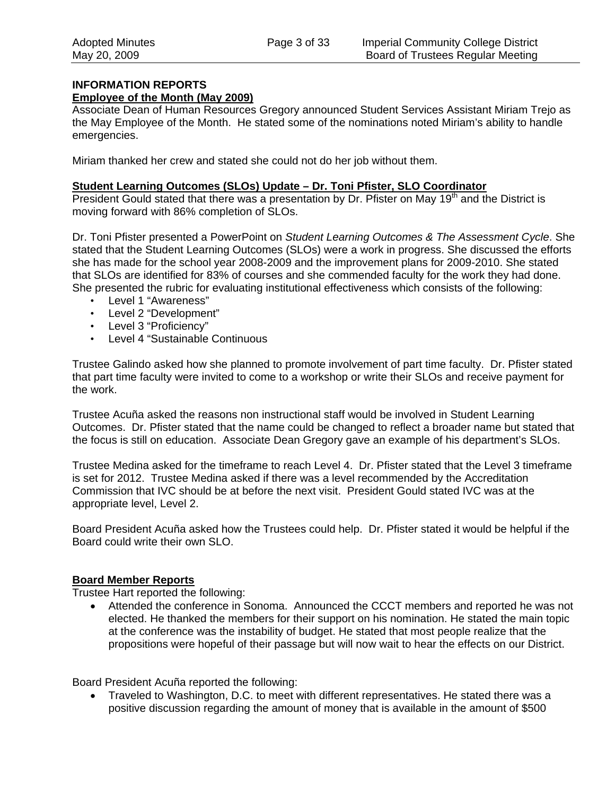#### **INFORMATION REPORTS**

#### **Employee of the Month (May 2009)**

Associate Dean of Human Resources Gregory announced Student Services Assistant Miriam Trejo as the May Employee of the Month. He stated some of the nominations noted Miriam's ability to handle emergencies.

Miriam thanked her crew and stated she could not do her job without them.

#### **Student Learning Outcomes (SLOs) Update – Dr. Toni Pfister, SLO Coordinator**

President Gould stated that there was a presentation by Dr. Pfister on May  $19<sup>th</sup>$  and the District is moving forward with 86% completion of SLOs.

Dr. Toni Pfister presented a PowerPoint on *Student Learning Outcomes & The Assessment Cycle*. She stated that the Student Learning Outcomes (SLOs) were a work in progress. She discussed the efforts she has made for the school year 2008-2009 and the improvement plans for 2009-2010. She stated that SLOs are identified for 83% of courses and she commended faculty for the work they had done. She presented the rubric for evaluating institutional effectiveness which consists of the following:

- Level 1 "Awareness"
- Level 2 "Development"
- Level 3 "Proficiency"
- Level 4 "Sustainable Continuous

Trustee Galindo asked how she planned to promote involvement of part time faculty. Dr. Pfister stated that part time faculty were invited to come to a workshop or write their SLOs and receive payment for the work.

Trustee Acuña asked the reasons non instructional staff would be involved in Student Learning Outcomes. Dr. Pfister stated that the name could be changed to reflect a broader name but stated that the focus is still on education. Associate Dean Gregory gave an example of his department's SLOs.

Trustee Medina asked for the timeframe to reach Level 4. Dr. Pfister stated that the Level 3 timeframe is set for 2012. Trustee Medina asked if there was a level recommended by the Accreditation Commission that IVC should be at before the next visit. President Gould stated IVC was at the appropriate level, Level 2.

Board President Acuña asked how the Trustees could help. Dr. Pfister stated it would be helpful if the Board could write their own SLO.

#### **Board Member Reports**

Trustee Hart reported the following:

• Attended the conference in Sonoma. Announced the CCCT members and reported he was not elected. He thanked the members for their support on his nomination. He stated the main topic at the conference was the instability of budget. He stated that most people realize that the propositions were hopeful of their passage but will now wait to hear the effects on our District.

Board President Acuña reported the following:

• Traveled to Washington, D.C. to meet with different representatives. He stated there was a positive discussion regarding the amount of money that is available in the amount of \$500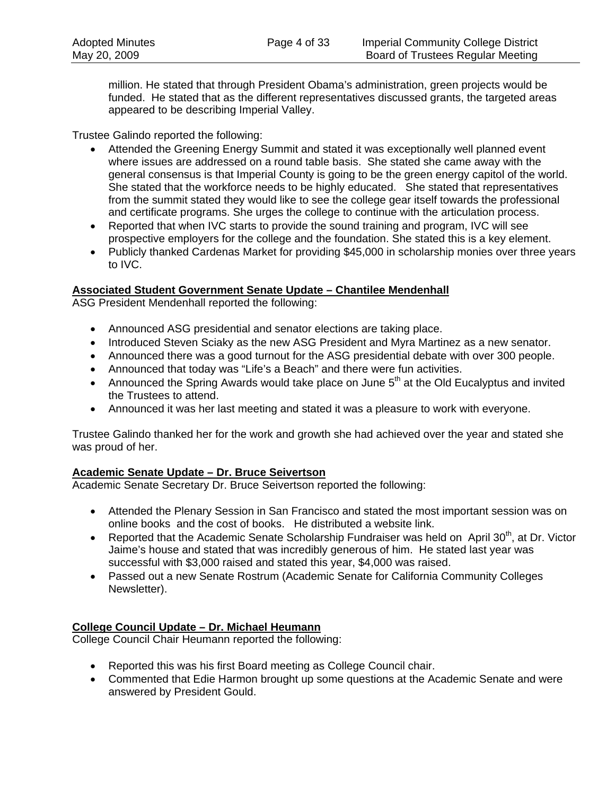million. He stated that through President Obama's administration, green projects would be funded. He stated that as the different representatives discussed grants, the targeted areas appeared to be describing Imperial Valley.

Trustee Galindo reported the following:

- Attended the Greening Energy Summit and stated it was exceptionally well planned event where issues are addressed on a round table basis. She stated she came away with the general consensus is that Imperial County is going to be the green energy capitol of the world. She stated that the workforce needs to be highly educated. She stated that representatives from the summit stated they would like to see the college gear itself towards the professional and certificate programs. She urges the college to continue with the articulation process.
- Reported that when IVC starts to provide the sound training and program, IVC will see prospective employers for the college and the foundation. She stated this is a key element.
- Publicly thanked Cardenas Market for providing \$45,000 in scholarship monies over three years to IVC.

#### **Associated Student Government Senate Update – Chantilee Mendenhall**

ASG President Mendenhall reported the following:

- Announced ASG presidential and senator elections are taking place.
- Introduced Steven Sciaky as the new ASG President and Myra Martinez as a new senator.
- Announced there was a good turnout for the ASG presidential debate with over 300 people.
- Announced that today was "Life's a Beach" and there were fun activities.
- Announced the Spring Awards would take place on June  $5<sup>th</sup>$  at the Old Eucalyptus and invited the Trustees to attend.
- Announced it was her last meeting and stated it was a pleasure to work with everyone.

Trustee Galindo thanked her for the work and growth she had achieved over the year and stated she was proud of her.

#### **Academic Senate Update – Dr. Bruce Seivertson**

Academic Senate Secretary Dr. Bruce Seivertson reported the following:

- Attended the Plenary Session in San Francisco and stated the most important session was on online books and the cost of books. He distributed a website link.
- Reported that the Academic Senate Scholarship Fundraiser was held on April 30<sup>th</sup>, at Dr. Victor Jaime's house and stated that was incredibly generous of him. He stated last year was successful with \$3,000 raised and stated this year, \$4,000 was raised.
- Passed out a new Senate Rostrum (Academic Senate for California Community Colleges Newsletter).

### **College Council Update – Dr. Michael Heumann**

College Council Chair Heumann reported the following:

- Reported this was his first Board meeting as College Council chair.
- Commented that Edie Harmon brought up some questions at the Academic Senate and were answered by President Gould.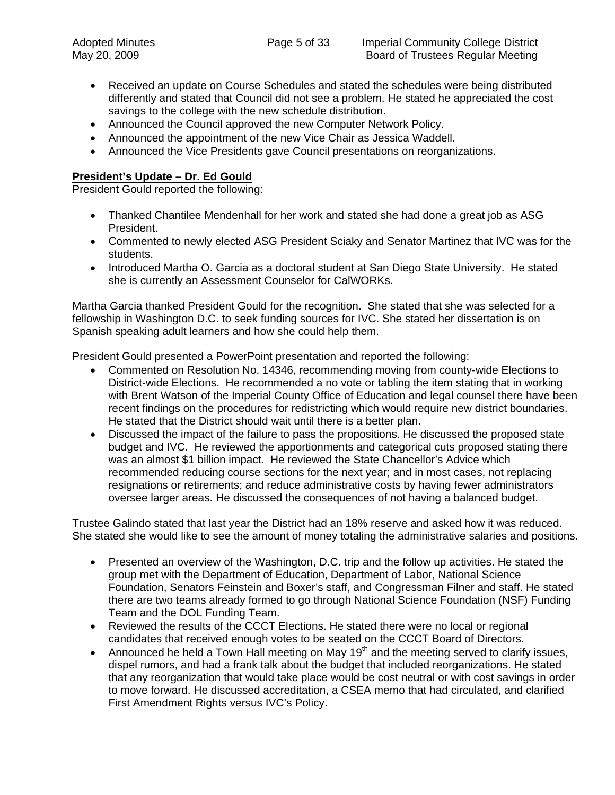- Received an update on Course Schedules and stated the schedules were being distributed differently and stated that Council did not see a problem. He stated he appreciated the cost savings to the college with the new schedule distribution.
- Announced the Council approved the new Computer Network Policy.
- Announced the appointment of the new Vice Chair as Jessica Waddell.
- Announced the Vice Presidents gave Council presentations on reorganizations.

#### **President's Update – Dr. Ed Gould**

President Gould reported the following:

- Thanked Chantilee Mendenhall for her work and stated she had done a great job as ASG President.
- Commented to newly elected ASG President Sciaky and Senator Martinez that IVC was for the students.
- Introduced Martha O. Garcia as a doctoral student at San Diego State University. He stated she is currently an Assessment Counselor for CalWORKs.

Martha Garcia thanked President Gould for the recognition. She stated that she was selected for a fellowship in Washington D.C. to seek funding sources for IVC. She stated her dissertation is on Spanish speaking adult learners and how she could help them.

President Gould presented a PowerPoint presentation and reported the following:

- Commented on Resolution No. 14346, recommending moving from county-wide Elections to District-wide Elections. He recommended a no vote or tabling the item stating that in working with Brent Watson of the Imperial County Office of Education and legal counsel there have been recent findings on the procedures for redistricting which would require new district boundaries. He stated that the District should wait until there is a better plan.
- Discussed the impact of the failure to pass the propositions. He discussed the proposed state budget and IVC. He reviewed the apportionments and categorical cuts proposed stating there was an almost \$1 billion impact. He reviewed the State Chancellor's Advice which recommended reducing course sections for the next year; and in most cases, not replacing resignations or retirements; and reduce administrative costs by having fewer administrators oversee larger areas. He discussed the consequences of not having a balanced budget.

Trustee Galindo stated that last year the District had an 18% reserve and asked how it was reduced. She stated she would like to see the amount of money totaling the administrative salaries and positions.

- Presented an overview of the Washington, D.C. trip and the follow up activities. He stated the group met with the Department of Education, Department of Labor, National Science Foundation, Senators Feinstein and Boxer's staff, and Congressman Filner and staff. He stated there are two teams already formed to go through National Science Foundation (NSF) Funding Team and the DOL Funding Team.
- Reviewed the results of the CCCT Elections. He stated there were no local or regional candidates that received enough votes to be seated on the CCCT Board of Directors.
- Announced he held a Town Hall meeting on May 19<sup>th</sup> and the meeting served to clarify issues, dispel rumors, and had a frank talk about the budget that included reorganizations. He stated that any reorganization that would take place would be cost neutral or with cost savings in order to move forward. He discussed accreditation, a CSEA memo that had circulated, and clarified First Amendment Rights versus IVC's Policy.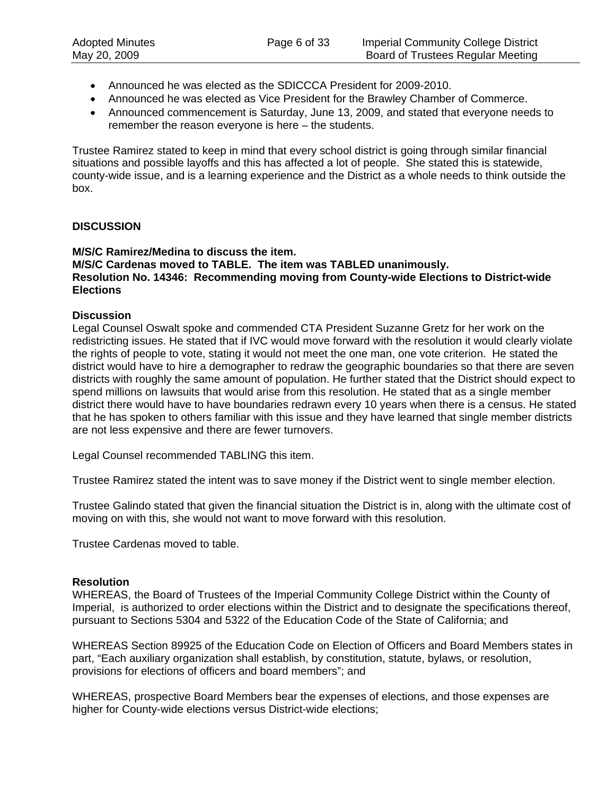- Announced he was elected as the SDICCCA President for 2009-2010.
- Announced he was elected as Vice President for the Brawley Chamber of Commerce.
- Announced commencement is Saturday, June 13, 2009, and stated that everyone needs to remember the reason everyone is here – the students.

Trustee Ramirez stated to keep in mind that every school district is going through similar financial situations and possible layoffs and this has affected a lot of people. She stated this is statewide, county-wide issue, and is a learning experience and the District as a whole needs to think outside the box.

#### **DISCUSSION**

#### **M/S/C Ramirez/Medina to discuss the item. M/S/C Cardenas moved to TABLE. The item was TABLED unanimously. Resolution No. 14346: Recommending moving from County-wide Elections to District-wide Elections**

#### **Discussion**

Legal Counsel Oswalt spoke and commended CTA President Suzanne Gretz for her work on the redistricting issues. He stated that if IVC would move forward with the resolution it would clearly violate the rights of people to vote, stating it would not meet the one man, one vote criterion. He stated the district would have to hire a demographer to redraw the geographic boundaries so that there are seven districts with roughly the same amount of population. He further stated that the District should expect to spend millions on lawsuits that would arise from this resolution. He stated that as a single member district there would have to have boundaries redrawn every 10 years when there is a census. He stated that he has spoken to others familiar with this issue and they have learned that single member districts are not less expensive and there are fewer turnovers.

Legal Counsel recommended TABLING this item.

Trustee Ramirez stated the intent was to save money if the District went to single member election.

Trustee Galindo stated that given the financial situation the District is in, along with the ultimate cost of moving on with this, she would not want to move forward with this resolution.

Trustee Cardenas moved to table.

#### **Resolution**

WHEREAS, the Board of Trustees of the Imperial Community College District within the County of Imperial, is authorized to order elections within the District and to designate the specifications thereof, pursuant to Sections 5304 and 5322 of the Education Code of the State of California; and

WHEREAS Section 89925 of the Education Code on Election of Officers and Board Members states in part, "Each auxiliary organization shall establish, by constitution, statute, bylaws, or resolution, provisions for elections of officers and board members"; and

WHEREAS, prospective Board Members bear the expenses of elections, and those expenses are higher for County-wide elections versus District-wide elections;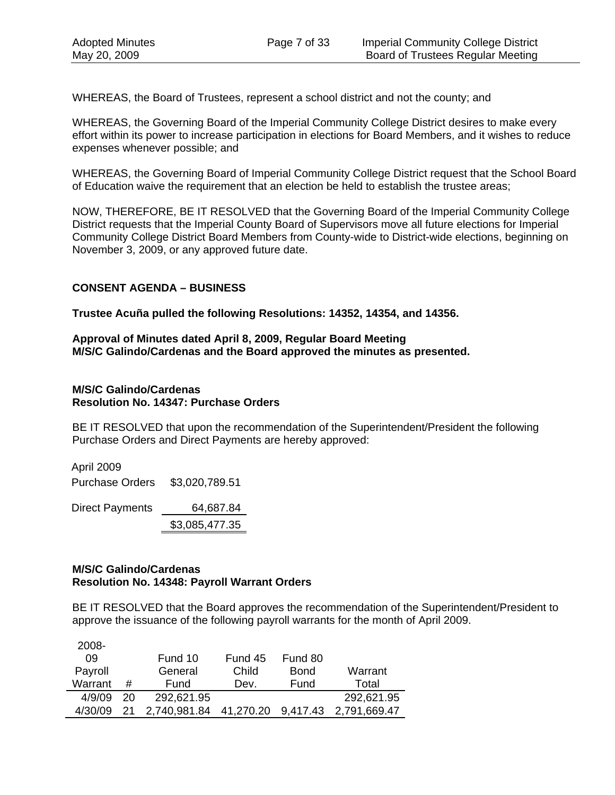WHEREAS, the Board of Trustees, represent a school district and not the county; and

WHEREAS, the Governing Board of the Imperial Community College District desires to make every effort within its power to increase participation in elections for Board Members, and it wishes to reduce expenses whenever possible; and

WHEREAS, the Governing Board of Imperial Community College District request that the School Board of Education waive the requirement that an election be held to establish the trustee areas;

NOW, THEREFORE, BE IT RESOLVED that the Governing Board of the Imperial Community College District requests that the Imperial County Board of Supervisors move all future elections for Imperial Community College District Board Members from County-wide to District-wide elections, beginning on November 3, 2009, or any approved future date.

#### **CONSENT AGENDA – BUSINESS**

**Trustee Acuña pulled the following Resolutions: 14352, 14354, and 14356.** 

**Approval of Minutes dated April 8, 2009, Regular Board Meeting M/S/C Galindo/Cardenas and the Board approved the minutes as presented.** 

#### **M/S/C Galindo/Cardenas Resolution No. 14347: Purchase Orders**

BE IT RESOLVED that upon the recommendation of the Superintendent/President the following Purchase Orders and Direct Payments are hereby approved:

April 2009 Purchase Orders \$3,020,789.51 Direct Payments 64,687.84 \$3,085,477.35

#### **M/S/C Galindo/Cardenas Resolution No. 14348: Payroll Warrant Orders**

BE IT RESOLVED that the Board approves the recommendation of the Superintendent/President to approve the issuance of the following payroll warrants for the month of April 2009.

| 2008-   |    |                                 |         |         |              |
|---------|----|---------------------------------|---------|---------|--------------|
| 09      |    | Fund 10                         | Fund 45 | Fund 80 |              |
| Payroll |    | General                         | Child   | Bond    | Warrant      |
| Warrant | #  | Fund                            | Dev.    | Fund    | Total        |
| 4/9/09  | 20 | 292,621.95                      |         |         | 292,621.95   |
| 4/30/09 | 21 | 2,740,981.84 41,270.20 9,417.43 |         |         | 2,791,669.47 |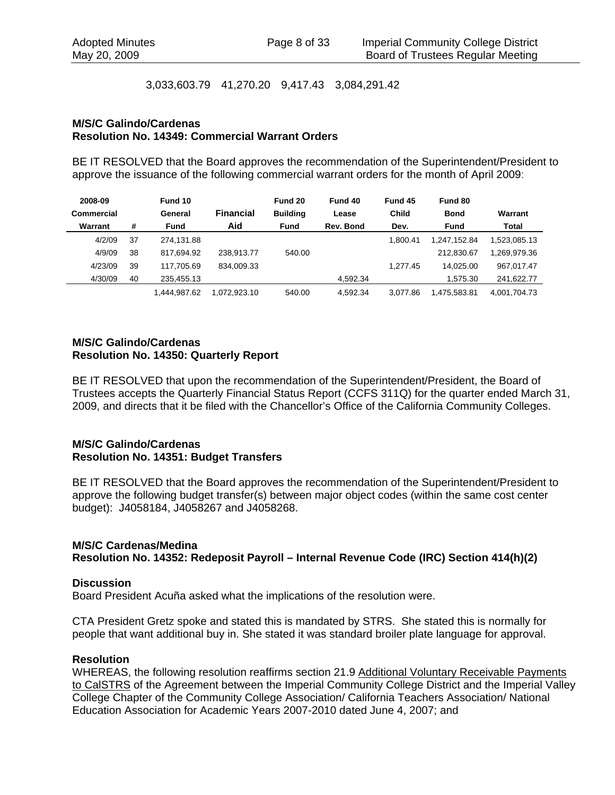3,033,603.79 41,270.20 9,417.43 3,084,291.42

#### **M/S/C Galindo/Cardenas Resolution No. 14349: Commercial Warrant Orders**

BE IT RESOLVED that the Board approves the recommendation of the Superintendent/President to approve the issuance of the following commercial warrant orders for the month of April 2009:

| 2008-09    |    | Fund 10      |                  | Fund 20         | Fund 40   | Fund 45  | Fund 80      |              |
|------------|----|--------------|------------------|-----------------|-----------|----------|--------------|--------------|
| Commercial |    | General      | <b>Financial</b> | <b>Building</b> | Lease     | Child    | <b>Bond</b>  | Warrant      |
| Warrant    | #  | <b>Fund</b>  | Aid              | <b>Fund</b>     | Rev. Bond | Dev.     | <b>Fund</b>  | <b>Total</b> |
| 4/2/09     | 37 | 274.131.88   |                  |                 |           | 1.800.41 | 1.247.152.84 | 1,523,085.13 |
| 4/9/09     | 38 | 817.694.92   | 238.913.77       | 540.00          |           |          | 212.830.67   | 1.269.979.36 |
| 4/23/09    | 39 | 117.705.69   | 834.009.33       |                 |           | 1.277.45 | 14.025.00    | 967,017.47   |
| 4/30/09    | 40 | 235.455.13   |                  |                 | 4.592.34  |          | 1.575.30     | 241.622.77   |
|            |    | 1.444.987.62 | 1.072.923.10     | 540.00          | 4.592.34  | 3.077.86 | 1.475.583.81 | 4.001.704.73 |

#### **M/S/C Galindo/Cardenas Resolution No. 14350: Quarterly Report**

BE IT RESOLVED that upon the recommendation of the Superintendent/President, the Board of Trustees accepts the Quarterly Financial Status Report (CCFS 311Q) for the quarter ended March 31, 2009, and directs that it be filed with the Chancellor's Office of the California Community Colleges.

#### **M/S/C Galindo/Cardenas Resolution No. 14351: Budget Transfers**

BE IT RESOLVED that the Board approves the recommendation of the Superintendent/President to approve the following budget transfer(s) between major object codes (within the same cost center budget): J4058184, J4058267 and J4058268.

#### **M/S/C Cardenas/Medina**

**Resolution No. 14352: Redeposit Payroll – Internal Revenue Code (IRC) Section 414(h)(2)** 

#### **Discussion**

Board President Acuña asked what the implications of the resolution were.

CTA President Gretz spoke and stated this is mandated by STRS. She stated this is normally for people that want additional buy in. She stated it was standard broiler plate language for approval.

#### **Resolution**

WHEREAS, the following resolution reaffirms section 21.9 Additional Voluntary Receivable Payments to CalSTRS of the Agreement between the Imperial Community College District and the Imperial Valley College Chapter of the Community College Association/ California Teachers Association/ National Education Association for Academic Years 2007-2010 dated June 4, 2007; and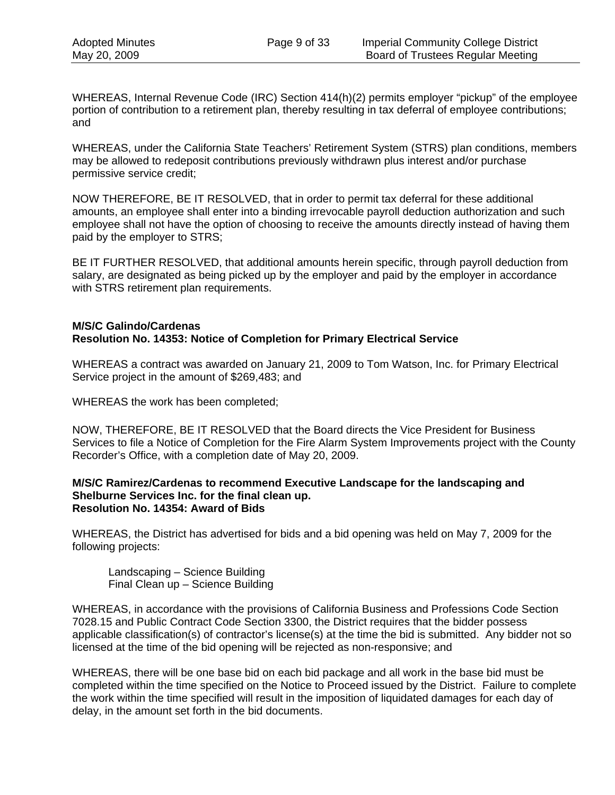WHEREAS, Internal Revenue Code (IRC) Section 414(h)(2) permits employer "pickup" of the employee portion of contribution to a retirement plan, thereby resulting in tax deferral of employee contributions; and

WHEREAS, under the California State Teachers' Retirement System (STRS) plan conditions, members may be allowed to redeposit contributions previously withdrawn plus interest and/or purchase permissive service credit;

NOW THEREFORE, BE IT RESOLVED, that in order to permit tax deferral for these additional amounts, an employee shall enter into a binding irrevocable payroll deduction authorization and such employee shall not have the option of choosing to receive the amounts directly instead of having them paid by the employer to STRS;

BE IT FURTHER RESOLVED, that additional amounts herein specific, through payroll deduction from salary, are designated as being picked up by the employer and paid by the employer in accordance with STRS retirement plan requirements.

#### **M/S/C Galindo/Cardenas Resolution No. 14353: Notice of Completion for Primary Electrical Service**

WHEREAS a contract was awarded on January 21, 2009 to Tom Watson, Inc. for Primary Electrical Service project in the amount of \$269,483; and

WHEREAS the work has been completed;

NOW, THEREFORE, BE IT RESOLVED that the Board directs the Vice President for Business Services to file a Notice of Completion for the Fire Alarm System Improvements project with the County Recorder's Office, with a completion date of May 20, 2009.

#### **M/S/C Ramirez/Cardenas to recommend Executive Landscape for the landscaping and Shelburne Services Inc. for the final clean up. Resolution No. 14354: Award of Bids**

WHEREAS, the District has advertised for bids and a bid opening was held on May 7, 2009 for the following projects:

Landscaping – Science Building Final Clean up – Science Building

WHEREAS, in accordance with the provisions of California Business and Professions Code Section 7028.15 and Public Contract Code Section 3300, the District requires that the bidder possess applicable classification(s) of contractor's license(s) at the time the bid is submitted. Any bidder not so licensed at the time of the bid opening will be rejected as non-responsive; and

WHEREAS, there will be one base bid on each bid package and all work in the base bid must be completed within the time specified on the Notice to Proceed issued by the District. Failure to complete the work within the time specified will result in the imposition of liquidated damages for each day of delay, in the amount set forth in the bid documents.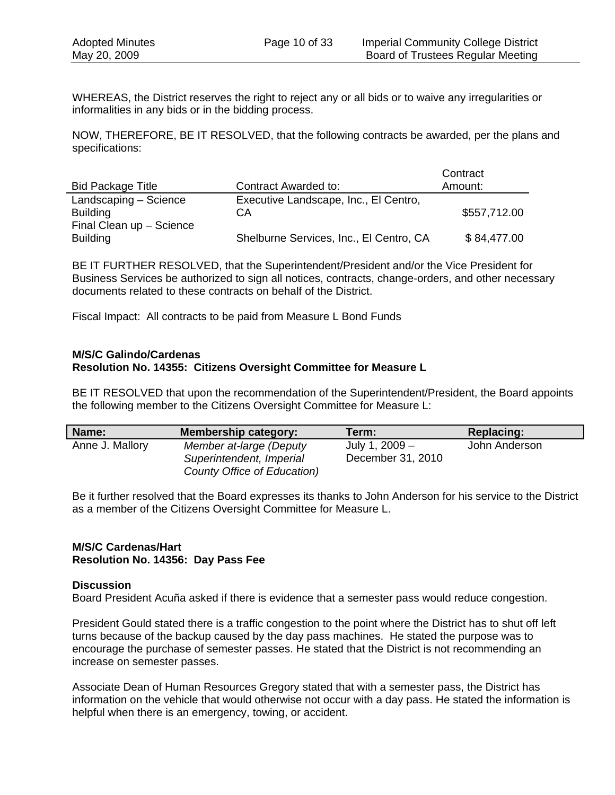WHEREAS, the District reserves the right to reject any or all bids or to waive any irregularities or informalities in any bids or in the bidding process.

NOW, THEREFORE, BE IT RESOLVED, that the following contracts be awarded, per the plans and specifications:

|                          |                                         | Contract     |
|--------------------------|-----------------------------------------|--------------|
| <b>Bid Package Title</b> | Contract Awarded to:                    | Amount:      |
| Landscaping - Science    | Executive Landscape, Inc., El Centro,   |              |
| <b>Building</b>          | CА                                      | \$557,712.00 |
| Final Clean up - Science |                                         |              |
| <b>Building</b>          | Shelburne Services, Inc., El Centro, CA | \$84,477.00  |

BE IT FURTHER RESOLVED, that the Superintendent/President and/or the Vice President for Business Services be authorized to sign all notices, contracts, change-orders, and other necessary documents related to these contracts on behalf of the District.

Fiscal Impact: All contracts to be paid from Measure L Bond Funds

#### **M/S/C Galindo/Cardenas Resolution No. 14355: Citizens Oversight Committee for Measure L**

BE IT RESOLVED that upon the recommendation of the Superintendent/President, the Board appoints the following member to the Citizens Oversight Committee for Measure L:

| Name:           | Membership category:        | Term: l           | <b>Replacing:</b> |
|-----------------|-----------------------------|-------------------|-------------------|
| Anne J. Mallory | Member at-large (Deputy     | July 1, 2009 -    | John Anderson     |
|                 | Superintendent, Imperial    | December 31, 2010 |                   |
|                 | County Office of Education) |                   |                   |

Be it further resolved that the Board expresses its thanks to John Anderson for his service to the District as a member of the Citizens Oversight Committee for Measure L.

#### **M/S/C Cardenas/Hart Resolution No. 14356: Day Pass Fee**

#### **Discussion**

Board President Acuña asked if there is evidence that a semester pass would reduce congestion.

President Gould stated there is a traffic congestion to the point where the District has to shut off left turns because of the backup caused by the day pass machines. He stated the purpose was to encourage the purchase of semester passes. He stated that the District is not recommending an increase on semester passes.

Associate Dean of Human Resources Gregory stated that with a semester pass, the District has information on the vehicle that would otherwise not occur with a day pass. He stated the information is helpful when there is an emergency, towing, or accident.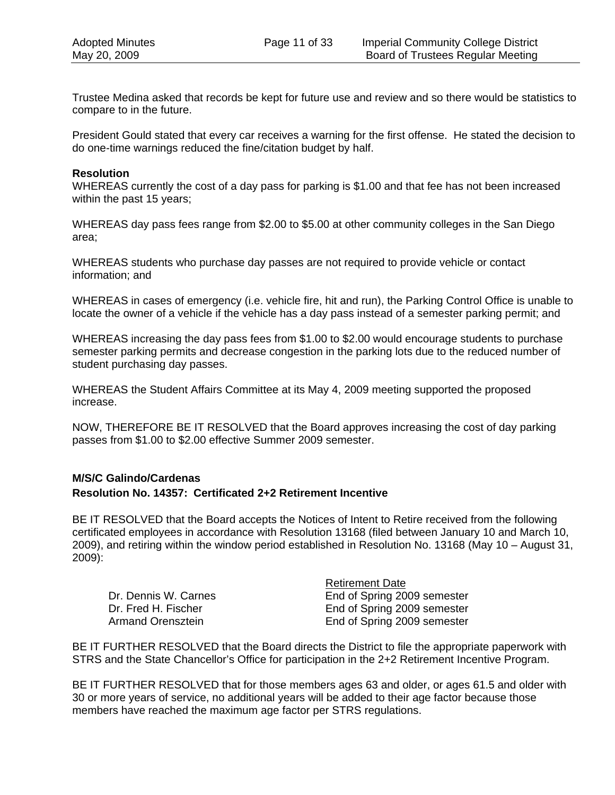Trustee Medina asked that records be kept for future use and review and so there would be statistics to compare to in the future.

President Gould stated that every car receives a warning for the first offense. He stated the decision to do one-time warnings reduced the fine/citation budget by half.

#### **Resolution**

WHEREAS currently the cost of a day pass for parking is \$1.00 and that fee has not been increased within the past 15 years;

WHEREAS day pass fees range from \$2.00 to \$5.00 at other community colleges in the San Diego area;

WHEREAS students who purchase day passes are not required to provide vehicle or contact information; and

WHEREAS in cases of emergency (i.e. vehicle fire, hit and run), the Parking Control Office is unable to locate the owner of a vehicle if the vehicle has a day pass instead of a semester parking permit; and

WHEREAS increasing the day pass fees from \$1.00 to \$2.00 would encourage students to purchase semester parking permits and decrease congestion in the parking lots due to the reduced number of student purchasing day passes.

WHEREAS the Student Affairs Committee at its May 4, 2009 meeting supported the proposed increase.

NOW, THEREFORE BE IT RESOLVED that the Board approves increasing the cost of day parking passes from \$1.00 to \$2.00 effective Summer 2009 semester.

#### **M/S/C Galindo/Cardenas Resolution No. 14357: Certificated 2+2 Retirement Incentive**

BE IT RESOLVED that the Board accepts the Notices of Intent to Retire received from the following certificated employees in accordance with Resolution 13168 (filed between January 10 and March 10, 2009), and retiring within the window period established in Resolution No. 13168 (May 10 – August 31, 2009):

Dr. Dennis W. Carnes **End of Spring 2009** semester Dr. Fred H. Fischer **End of Spring 2009 semester**<br>Armand Orensztein **End of Spring 2009 semester** 

 Retirement Date End of Spring 2009 semester

BE IT FURTHER RESOLVED that the Board directs the District to file the appropriate paperwork with STRS and the State Chancellor's Office for participation in the 2+2 Retirement Incentive Program.

BE IT FURTHER RESOLVED that for those members ages 63 and older, or ages 61.5 and older with 30 or more years of service, no additional years will be added to their age factor because those members have reached the maximum age factor per STRS regulations.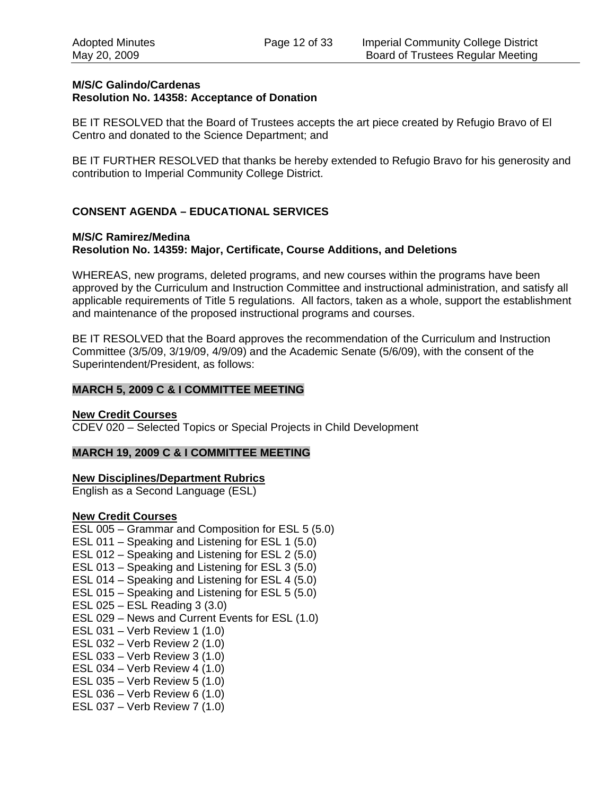#### **M/S/C Galindo/Cardenas Resolution No. 14358: Acceptance of Donation**

BE IT RESOLVED that the Board of Trustees accepts the art piece created by Refugio Bravo of El Centro and donated to the Science Department; and

BE IT FURTHER RESOLVED that thanks be hereby extended to Refugio Bravo for his generosity and contribution to Imperial Community College District.

#### **CONSENT AGENDA – EDUCATIONAL SERVICES**

#### **M/S/C Ramirez/Medina Resolution No. 14359: Major, Certificate, Course Additions, and Deletions**

WHEREAS, new programs, deleted programs, and new courses within the programs have been approved by the Curriculum and Instruction Committee and instructional administration, and satisfy all applicable requirements of Title 5 regulations. All factors, taken as a whole, support the establishment and maintenance of the proposed instructional programs and courses.

BE IT RESOLVED that the Board approves the recommendation of the Curriculum and Instruction Committee (3/5/09, 3/19/09, 4/9/09) and the Academic Senate (5/6/09), with the consent of the Superintendent/President, as follows:

#### **MARCH 5, 2009 C & I COMMITTEE MEETING**

#### **New Credit Courses**

CDEV 020 – Selected Topics or Special Projects in Child Development

#### **MARCH 19, 2009 C & I COMMITTEE MEETING**

#### **New Disciplines/Department Rubrics**

English as a Second Language (ESL)

#### **New Credit Courses**

ESL 005 – Grammar and Composition for ESL 5 (5.0) ESL 011 – Speaking and Listening for ESL 1 (5.0) ESL 012 – Speaking and Listening for ESL 2 (5.0) ESL 013 – Speaking and Listening for ESL 3 (5.0) ESL 014 – Speaking and Listening for ESL 4 (5.0) ESL 015 – Speaking and Listening for ESL 5 (5.0) ESL 025 – ESL Reading 3 (3.0) ESL 029 – News and Current Events for ESL (1.0) ESL 031 – Verb Review 1 (1.0) ESL 032 – Verb Review 2 (1.0) ESL 033 – Verb Review 3 (1.0) ESL 034 – Verb Review 4 (1.0) ESL 035 – Verb Review 5 (1.0) ESL 036 – Verb Review 6 (1.0) ESL 037 – Verb Review 7 (1.0)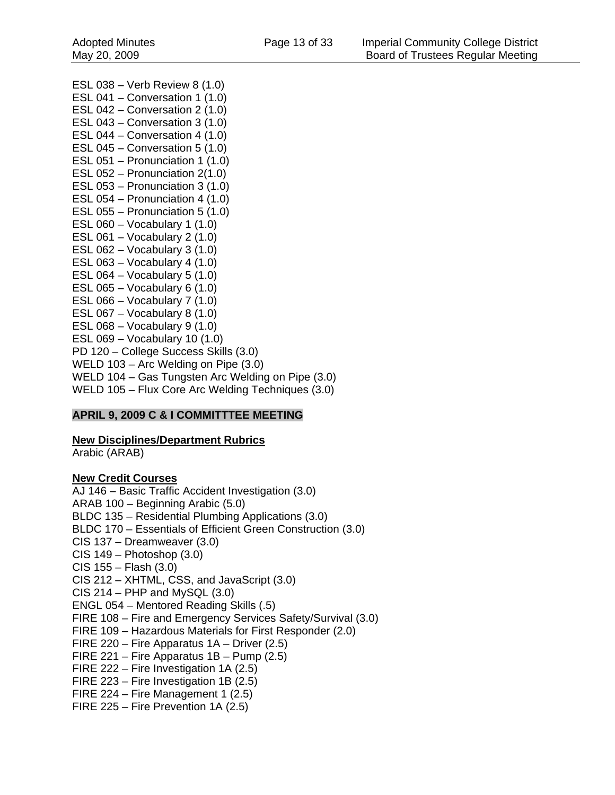ESL 038 – Verb Review 8 (1.0) ESL 041 – Conversation 1 (1.0) ESL 042 – Conversation 2 (1.0) ESL 043 – Conversation 3 (1.0) ESL 044 – Conversation 4 (1.0) ESL 045 – Conversation 5 (1.0) ESL 051 – Pronunciation 1 (1.0) ESL 052 – Pronunciation 2(1.0) ESL 053 – Pronunciation 3 (1.0) ESL 054 – Pronunciation 4 (1.0) ESL 055 – Pronunciation 5 (1.0) ESL 060 – Vocabulary 1 (1.0) ESL 061 – Vocabulary 2 (1.0) ESL 062 – Vocabulary 3 (1.0) ESL 063 – Vocabulary 4 (1.0) ESL  $064 - Vocabulary 5 (1.0)$ ESL  $065 - Vocabularv 6 (1.0)$ ESL 066 – Vocabulary 7 (1.0) ESL 067 – Vocabulary 8 (1.0) ESL 068 – Vocabulary 9 (1.0) ESL 069 – Vocabulary 10 (1.0) PD 120 – College Success Skills (3.0) WELD 103 – Arc Welding on Pipe (3.0) WELD 104 – Gas Tungsten Arc Welding on Pipe (3.0) WELD 105 – Flux Core Arc Welding Techniques (3.0)

#### **APRIL 9, 2009 C & I COMMITTTEE MEETING**

#### **New Disciplines/Department Rubrics**

Arabic (ARAB)

#### **New Credit Courses**

AJ 146 – Basic Traffic Accident Investigation (3.0) ARAB 100 – Beginning Arabic (5.0) BLDC 135 – Residential Plumbing Applications (3.0) BLDC 170 – Essentials of Efficient Green Construction (3.0) CIS 137 – Dreamweaver (3.0) CIS 149 – Photoshop (3.0) CIS 155 – Flash (3.0) CIS 212 – XHTML, CSS, and JavaScript (3.0) CIS 214 – PHP and MySQL (3.0) ENGL 054 – Mentored Reading Skills (.5) FIRE 108 – Fire and Emergency Services Safety/Survival (3.0) FIRE 109 – Hazardous Materials for First Responder (2.0) FIRE 220 – Fire Apparatus 1A – Driver (2.5) FIRE 221 – Fire Apparatus 1B – Pump (2.5) FIRE 222 – Fire Investigation 1A (2.5) FIRE 223 – Fire Investigation 1B (2.5) FIRE 224 – Fire Management 1 (2.5) FIRE 225 – Fire Prevention 1A (2.5)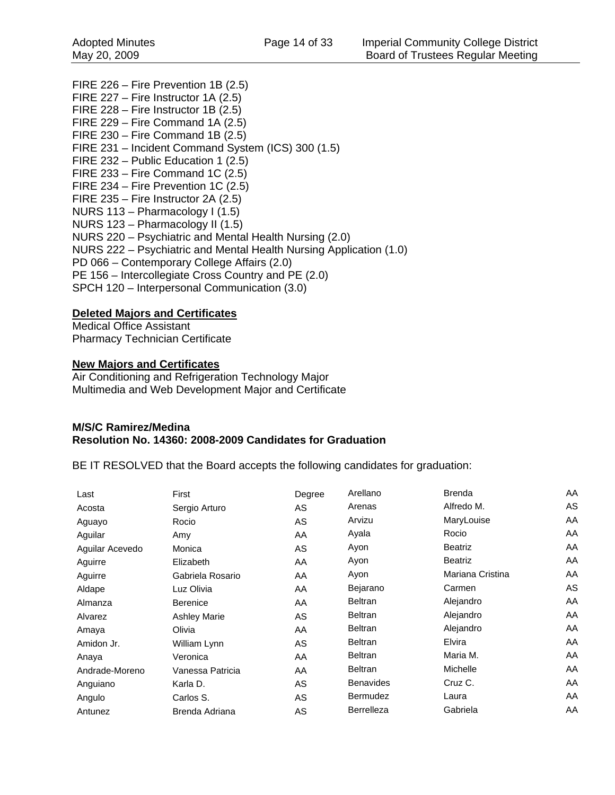FIRE 226 – Fire Prevention 1B (2.5) FIRE 227 – Fire Instructor 1A (2.5) FIRE 228 – Fire Instructor 1B (2.5) FIRE 229 – Fire Command 1A (2.5) FIRE 230 – Fire Command 1B (2.5) FIRE 231 – Incident Command System (ICS) 300 (1.5) FIRE 232 – Public Education 1 (2.5) FIRE 233 – Fire Command 1C (2.5) FIRE 234 – Fire Prevention 1C (2.5) FIRE 235 – Fire Instructor 2A (2.5) NURS 113 – Pharmacology I (1.5) NURS 123 – Pharmacology II (1.5) NURS 220 – Psychiatric and Mental Health Nursing (2.0) NURS 222 – Psychiatric and Mental Health Nursing Application (1.0) PD 066 – Contemporary College Affairs (2.0) PE 156 – Intercollegiate Cross Country and PE (2.0) SPCH 120 – Interpersonal Communication (3.0)

#### **Deleted Majors and Certificates**

Medical Office Assistant Pharmacy Technician Certificate

#### **New Majors and Certificates**

Air Conditioning and Refrigeration Technology Major Multimedia and Web Development Major and Certificate

#### **M/S/C Ramirez/Medina Resolution No. 14360: 2008-2009 Candidates for Graduation**

BE IT RESOLVED that the Board accepts the following candidates for graduation:

| Last            | First               | Degree    | Arellano         | <b>Brenda</b>    | AA  |
|-----------------|---------------------|-----------|------------------|------------------|-----|
| Acosta          | Sergio Arturo       | <b>AS</b> | Arenas           | Alfredo M.       | AS. |
| Aguayo          | Rocio               | AS        | Arvizu           | MaryLouise       | AA  |
| Aguilar         | Amy                 | AA        | Ayala            | Rocio            | AA  |
| Aguilar Acevedo | Monica              | AS        | Ayon             | <b>Beatriz</b>   | AA  |
| Aguirre         | Elizabeth           | AA        | Ayon             | <b>Beatriz</b>   | AA  |
| Aguirre         | Gabriela Rosario    | AA        | Ayon             | Mariana Cristina | AA  |
| Aldape          | Luz Olivia          | AA        | Bejarano         | Carmen           | AS  |
| Almanza         | <b>Berenice</b>     | AA        | Beltran          | Alejandro        | AA  |
| Alvarez         | <b>Ashley Marie</b> | AS        | Beltran          | Alejandro        | AA  |
| Amaya           | Olivia              | AA        | <b>Beltran</b>   | Alejandro        | AA  |
| Amidon Jr.      | William Lynn        | AS        | <b>Beltran</b>   | Elvira           | AA  |
| Anaya           | Veronica            | AA        | <b>Beltran</b>   | Maria M.         | AA  |
| Andrade-Moreno  | Vanessa Patricia    | AA        | <b>Beltran</b>   | Michelle         | AA  |
| Anguiano        | Karla D.            | AS        | <b>Benavides</b> | Cruz C.          | AA  |
| Angulo          | Carlos S.           | AS        | Bermudez         | Laura            | AA  |
| Antunez         | Brenda Adriana      | AS        | Berrelleza       | Gabriela         | AA  |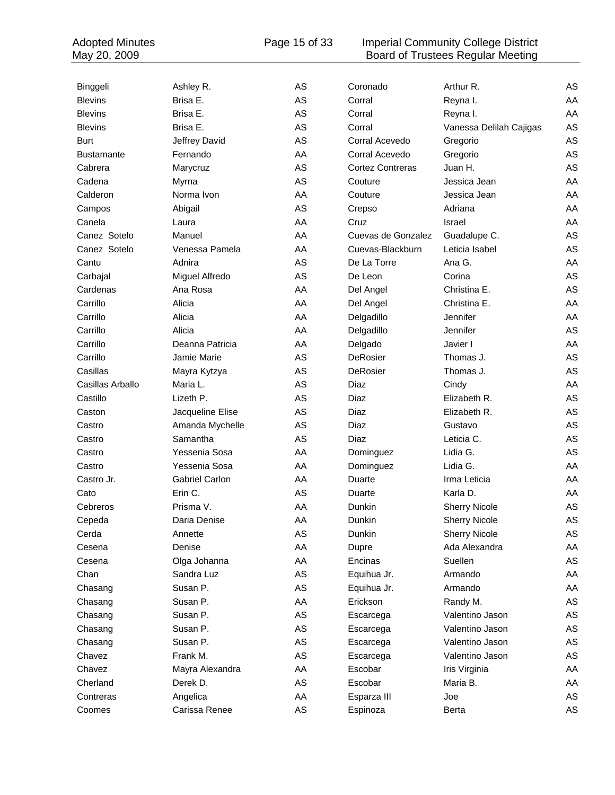#### Adopted Minutes **Page 15 of 33** Imperial Community College District May 20, 2009 **Board of Trustees Regular Meeting**

| Binggeli          | Ashley R.<br>Brisa E. | AS<br>AS | Coronado<br>Corral      | Arthur R.               | AS       |
|-------------------|-----------------------|----------|-------------------------|-------------------------|----------|
| <b>Blevins</b>    | Brisa E.              | AS       |                         | Reyna I.                | AA       |
| <b>Blevins</b>    |                       | AS       | Corral<br>Corral        | Reyna I.                | AA<br>AS |
| <b>Blevins</b>    | Brisa E.              | AS       | Corral Acevedo          | Vanessa Delilah Cajigas | AS       |
| <b>Burt</b>       | Jeffrey David         |          |                         | Gregorio                |          |
| <b>Bustamante</b> | Fernando              | AA       | Corral Acevedo          | Gregorio                | AS       |
| Cabrera           | Marycruz              | AS       | <b>Cortez Contreras</b> | Juan H.                 | AS       |
| Cadena            | Myrna                 | AS       | Couture                 | Jessica Jean            | AA       |
| Calderon          | Norma Ivon            | AA       | Couture                 | Jessica Jean            | AA       |
| Campos            | Abigail               | AS       | Crepso                  | Adriana                 | AA       |
| Canela            | Laura                 | AA       | Cruz                    | Israel                  | AA       |
| Canez Sotelo      | Manuel                | AA       | Cuevas de Gonzalez      | Guadalupe C.            | AS       |
| Canez Sotelo      | Venessa Pamela        | AA       | Cuevas-Blackburn        | Leticia Isabel          | AS       |
| Cantu             | Adnira                | AS       | De La Torre             | Ana G.                  | AA       |
| Carbajal          | Miguel Alfredo        | AS       | De Leon                 | Corina                  | AS       |
| Cardenas          | Ana Rosa              | AA       | Del Angel               | Christina E.            | AS       |
| Carrillo          | Alicia                | AA       | Del Angel               | Christina E.            | AA       |
| Carrillo          | Alicia                | AA       | Delgadillo              | Jennifer                | AA       |
| Carrillo          | Alicia                | AA       | Delgadillo              | Jennifer                | AS       |
| Carrillo          | Deanna Patricia       | AA       | Delgado                 | Javier I                | AA       |
| Carrillo          | Jamie Marie           | AS       | DeRosier                | Thomas J.               | AS       |
| Casillas          | Mayra Kytzya          | AS       | DeRosier                | Thomas J.               | AS       |
| Casillas Arballo  | Maria L.              | AS       | Diaz                    | Cindy                   | AA       |
| Castillo          | Lizeth P.             | AS       | Diaz                    | Elizabeth R.            | AS       |
| Caston            | Jacqueline Elise      | AS       | Diaz                    | Elizabeth R.            | AS       |
| Castro            | Amanda Mychelle       | AS       | Diaz                    | Gustavo                 | AS       |
| Castro            | Samantha              | AS       | Diaz                    | Leticia C.              | AS       |
| Castro            | Yessenia Sosa         | AA       | Dominguez               | Lidia G.                | AS       |
| Castro            | Yessenia Sosa         | AA       | Dominguez               | Lidia G.                | AA       |
| Castro Jr.        | <b>Gabriel Carlon</b> | AA       | Duarte                  | Irma Leticia            | AA       |
| Cato              | Erin C.               | AS       | Duarte                  | Karla D.                | AA       |
| Cebreros          | Prisma V.             | AA       | Dunkin                  | <b>Sherry Nicole</b>    | AS       |
| Cepeda            | Daria Denise          | AA       | Dunkin                  | <b>Sherry Nicole</b>    | AS       |
| Cerda             | Annette               | AS       | Dunkin                  | <b>Sherry Nicole</b>    | AS       |
| Cesena            | Denise                | AA       | Dupre                   | Ada Alexandra           | AA       |
| Cesena            | Olga Johanna          | AA       | Encinas                 | Suellen                 | AS       |
| Chan              | Sandra Luz            | AS       | Equihua Jr.             | Armando                 | AA       |
| Chasang           | Susan P.              | AS       | Equihua Jr.             | Armando                 | AA       |
| Chasang           | Susan P.              | AA       | Erickson                | Randy M.                | AS       |
| Chasang           | Susan P.              | AS       | Escarcega               | Valentino Jason         | AS       |
| Chasang           | Susan P.              | AS       | Escarcega               | Valentino Jason         | AS       |
| Chasang           | Susan P.              | AS       | Escarcega               | Valentino Jason         | AS       |
| Chavez            | Frank M.              | AS       | Escarcega               | Valentino Jason         | AS       |
| Chavez            | Mayra Alexandra       | AA       | Escobar                 | Iris Virginia           | AA       |
| Cherland          | Derek D.              | AS       | Escobar                 | Maria B.                | AA       |
| Contreras         | Angelica              | AA       | Esparza III             | Joe                     | AS       |
| Coomes            | Carissa Renee         | AS       | Espinoza                | <b>Berta</b>            | AS       |
|                   |                       |          |                         |                         |          |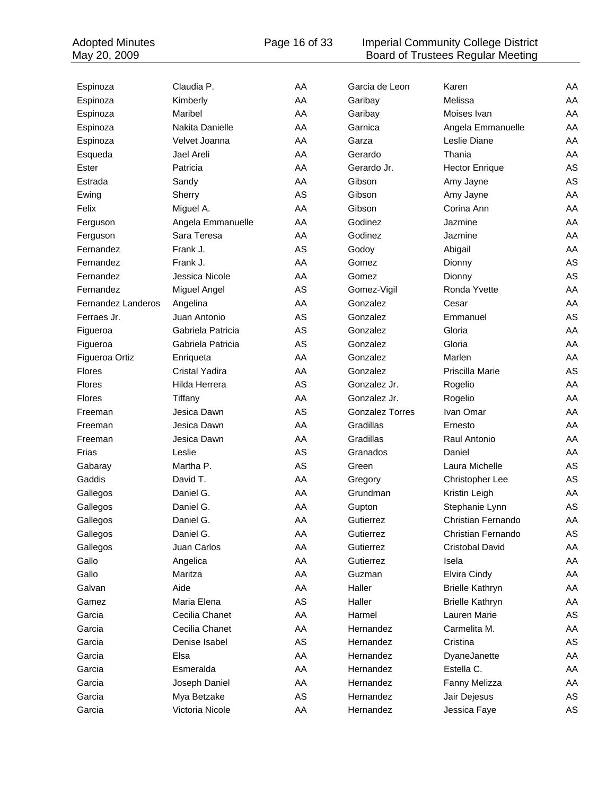#### Adopted Minutes **Page 16 of 33** Imperial Community College District May 20, 2009 **Board of Trustees Regular Meeting**

| Espinoza                  | Claudia P.        | AA | Garcia de Leon         | Karen                  | AA |
|---------------------------|-------------------|----|------------------------|------------------------|----|
| Espinoza                  | Kimberly          | AA | Garibay                | Melissa                | AA |
| Espinoza                  | Maribel           | AA | Garibay                | Moises Ivan            | AA |
| Espinoza                  | Nakita Danielle   | AA | Garnica                | Angela Emmanuelle      | AA |
| Espinoza                  | Velvet Joanna     | AA | Garza                  | Leslie Diane           | AA |
| Esqueda                   | Jael Areli        | AA | Gerardo                | Thania                 | AA |
| Ester                     | Patricia          | AA | Gerardo Jr.            | <b>Hector Enrique</b>  | AS |
| Estrada                   | Sandy             | AA | Gibson                 | Amy Jayne              | AS |
| Ewing                     | Sherry            | AS | Gibson                 | Amy Jayne              | AA |
| Felix                     | Miguel A.         | AA | Gibson                 | Corina Ann             | AA |
| Ferguson                  | Angela Emmanuelle | AA | Godinez                | Jazmine                | AA |
| Ferguson                  | Sara Teresa       | AA | Godinez                | Jazmine                | AA |
| Fernandez                 | Frank J.          | AS | Godoy                  | Abigail                | AA |
| Fernandez                 | Frank J.          | AA | Gomez                  | Dionny                 | AS |
| Fernandez                 | Jessica Nicole    | AA | Gomez                  | Dionny                 | AS |
| Fernandez                 | Miguel Angel      | AS | Gomez-Vigil            | Ronda Yvette           | AA |
| <b>Fernandez Landeros</b> | Angelina          | AA | Gonzalez               | Cesar                  | AA |
| Ferraes Jr.               | Juan Antonio      | AS | Gonzalez               | Emmanuel               | AS |
| Figueroa                  | Gabriela Patricia | AS | Gonzalez               | Gloria                 | AA |
| Figueroa                  | Gabriela Patricia | AS | Gonzalez               | Gloria                 | AA |
| Figueroa Ortiz            | Enriqueta         | AA | Gonzalez               | Marlen                 | AA |
| <b>Flores</b>             | Cristal Yadira    | AA | Gonzalez               | Priscilla Marie        | AS |
| <b>Flores</b>             | Hilda Herrera     | AS | Gonzalez Jr.           | Rogelio                | AA |
| <b>Flores</b>             | Tiffany           | AA | Gonzalez Jr.           | Rogelio                | AA |
| Freeman                   | Jesica Dawn       | AS | <b>Gonzalez Torres</b> | Ivan Omar              | AA |
| Freeman                   | Jesica Dawn       | AA | Gradillas              | Ernesto                | AA |
| Freeman                   | Jesica Dawn       | AA | Gradillas              | Raul Antonio           | AA |
| Frias                     | Leslie            | AS | Granados               | Daniel                 | AA |
| Gabaray                   | Martha P.         | AS | Green                  | Laura Michelle         | AS |
| Gaddis                    | David T.          | AA | Gregory                | Christopher Lee        | AS |
| Gallegos                  | Daniel G.         | AA | Grundman               | Kristin Leigh          | AA |
| Gallegos                  | Daniel G.         | AA | Gupton                 | Stephanie Lynn         | AS |
| Gallegos                  | Daniel G.         | AA | Gutierrez              | Christian Fernando     | AA |
| Gallegos                  | Daniel G.         | AA | Gutierrez              | Christian Fernando     | AS |
| Gallegos                  | Juan Carlos       | AA | Gutierrez              | Cristobal David        | AA |
| Gallo                     | Angelica          | AA | Gutierrez              | Isela                  | AA |
| Gallo                     | Maritza           | AA | Guzman                 | Elvira Cindy           | AA |
| Galvan                    | Aide              | AA | Haller                 | <b>Brielle Kathryn</b> | AA |
| Gamez                     | Maria Elena       | AS | Haller                 | <b>Brielle Kathryn</b> | AA |
| Garcia                    | Cecilia Chanet    | AA | Harmel                 | Lauren Marie           | AS |
| Garcia                    | Cecilia Chanet    | AA | Hernandez              | Carmelita M.           | AA |
| Garcia                    | Denise Isabel     | AS | Hernandez              | Cristina               | AS |
| Garcia                    | Elsa              | AA | Hernandez              | DyaneJanette           | AA |
| Garcia                    | Esmeralda         | AA | Hernandez              | Estella C.             | AA |
| Garcia                    | Joseph Daniel     | AA | Hernandez              | Fanny Melizza          | AA |
| Garcia                    | Mya Betzake       | AS | Hernandez              | Jair Dejesus           | AS |
| Garcia                    | Victoria Nicole   | AA | Hernandez              | Jessica Faye           | AS |
|                           |                   |    |                        |                        |    |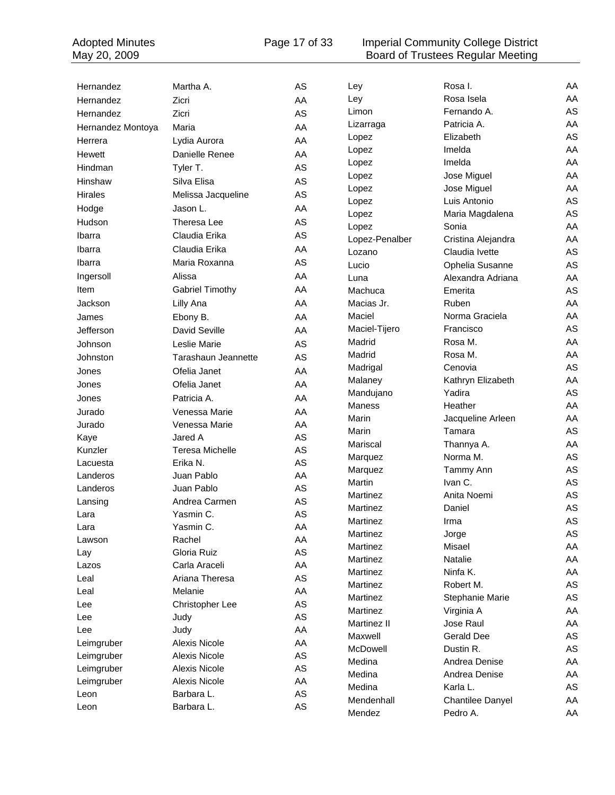Adopted Minutes **Page 17 of 33** Imperial Community College District May 20, 2009 **Board of Trustees Regular Meeting** 

| Hernandez         | Martha A.              | AS            | Ley             | Rosa I.            | AA            |
|-------------------|------------------------|---------------|-----------------|--------------------|---------------|
| Hernandez         | Zicri                  | AA            | Ley             | Rosa Isela         | AA            |
| Hernandez         | Zicri                  | AS            | Limon           | Fernando A.        | AS            |
| Hernandez Montoya | Maria                  | AA            | Lizarraga       | Patricia A.        | AA            |
| Herrera           | Lydia Aurora           | AA            | Lopez           | Elizabeth          | AS            |
| Hewett            | Danielle Renee         | AA            | Lopez           | Imelda             | AA            |
| Hindman           | Tyler T.               | AS            | Lopez           | Imelda             | AA            |
| Hinshaw           | Silva Elisa            | AS            | Lopez           | Jose Miguel        | AA            |
| <b>Hirales</b>    | Melissa Jacqueline     | AS            | Lopez           | Jose Miguel        | AA            |
| Hodge             | Jason L.               | AA            | Lopez           | Luis Antonio       | AS            |
|                   | Theresa Lee            | AS            | Lopez           | Maria Magdalena    | AS            |
| Hudson            |                        |               | Lopez           | Sonia              | AA            |
| Ibarra            | Claudia Erika          | AS            | Lopez-Penalber  | Cristina Alejandra | AA            |
| Ibarra            | Claudia Erika          | AA            | Lozano          | Claudia Ivette     | AS            |
| Ibarra            | Maria Roxanna          | AS            | Lucio           | Ophelia Susanne    | AS            |
| Ingersoll         | Alissa                 | AA            | Luna            | Alexandra Adriana  | AA            |
| Item              | <b>Gabriel Timothy</b> | AA            | Machuca         | Emerita            | AS            |
| Jackson           | Lilly Ana              | AA            | Macias Jr.      | Ruben              | AA            |
| James             | Ebony B.               | AA            | Maciel          | Norma Graciela     | AA            |
| Jefferson         | David Seville          | AA            | Maciel-Tijero   | Francisco          | AS            |
| Johnson           | Leslie Marie           | AS            | Madrid          | Rosa M.            | AA            |
| Johnston          | Tarashaun Jeannette    | AS            | Madrid          | Rosa M.            | AA            |
| Jones             | Ofelia Janet           | AA            | Madrigal        | Cenovia            | AS            |
| Jones             | Ofelia Janet           | AA            | Malaney         | Kathryn Elizabeth  | AA            |
| Jones             | Patricia A.            | AA            | Mandujano       | Yadira             | AS            |
| Jurado            | Venessa Marie          | AA            | Maness          | Heather            | AA            |
| Jurado            | Venessa Marie          | AA            | Marin           | Jacqueline Arleen  | AA            |
| Kaye              | Jared A                | AS            | Marin           | Tamara             | AS            |
| Kunzler           | <b>Teresa Michelle</b> | AS            | Mariscal        | Thannya A.         | AA            |
| Lacuesta          | Erika N.               | AS            | Marquez         | Norma M.           | AS            |
| Landeros          | Juan Pablo             | AA            | Marquez         | Tammy Ann          | AS            |
| Landeros          | Juan Pablo             | AS            | Martin          | Ivan C.            | AS            |
| Lansing           | Andrea Carmen          | AS            | Martinez        | Anita Noemi        | AS            |
| Lara              | Yasmin C.              | AS            | Martinez        | Daniel             | AS            |
| Lara              | Yasmin C.              | AA            | Martinez        | Irma               | AS            |
| Lawson            | Rachel                 | AA            | Martinez        | Jorge              | AS            |
| Lay               | Gloria Ruiz            | AS            | Martinez        | Misael             | AA            |
| Lazos             | Carla Araceli          | AA            | Martinez        | Natalie            | AA            |
| Leal              | Ariana Theresa         | AS            | Martinez        | Ninfa K.           | AA            |
| Leal              | Melanie                | AA            | Martinez        | Robert M.          | AS            |
| Lee               | Christopher Lee        | AS            | Martinez        | Stephanie Marie    | $\mathsf{AS}$ |
| Lee               | Judy                   | AS            | Martinez        | Virginia A         | AA            |
| Lee               | Judy                   | AA            | Martinez II     | Jose Raul          | AA            |
| Leimgruber        | Alexis Nicole          | AA            | Maxwell         | <b>Gerald Dee</b>  | AS            |
| Leimgruber        | Alexis Nicole          | $\mathsf{AS}$ | <b>McDowell</b> | Dustin R.          | AS            |
| Leimgruber        | Alexis Nicole          | $\mathsf{AS}$ | Medina          | Andrea Denise      | AA            |
| Leimgruber        | Alexis Nicole          | AA            | Medina          | Andrea Denise      | AA            |
| Leon              | Barbara L.             | AS            | Medina          | Karla L.           | AS            |
| Leon              | Barbara L.             | AS            | Mendenhall      | Chantilee Danyel   | AA            |
|                   |                        |               | Mendez          | Pedro A.           | AA            |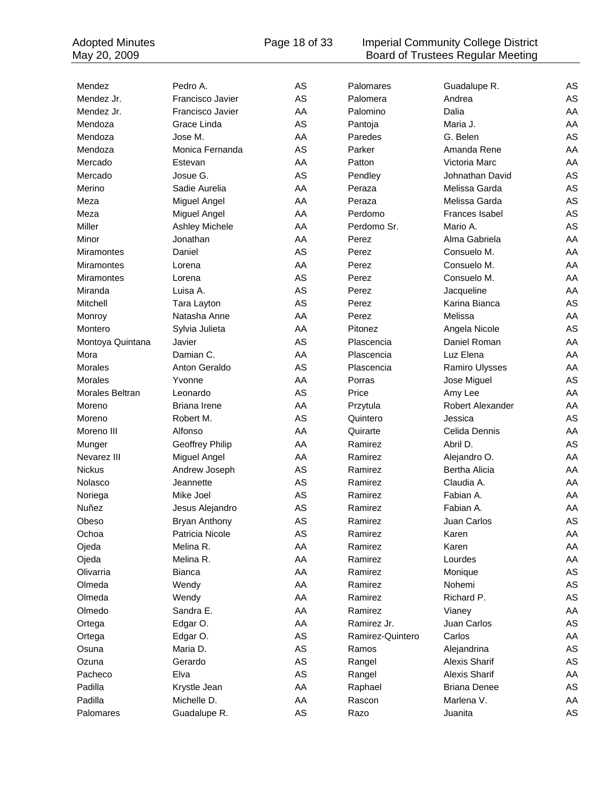#### Adopted Minutes **Page 18 of 33** Imperial Community College District May 20, 2009 **Board of Trustees Regular Meeting**

| Mendez            | Pedro A.             | AS | Palomares        | Guadalupe R.         | AS |
|-------------------|----------------------|----|------------------|----------------------|----|
| Mendez Jr.        | Francisco Javier     | AS | Palomera         | Andrea               | AS |
| Mendez Jr.        | Francisco Javier     | AA | Palomino         | Dalia                | AA |
| Mendoza           | Grace Linda          | AS | Pantoja          | Maria J.             | AA |
| Mendoza           | Jose M.              | AA | Paredes          | G. Belen             | AS |
| Mendoza           | Monica Fernanda      | AS | Parker           | Amanda Rene          | AA |
| Mercado           | Estevan              | AA | Patton           | Victoria Marc        | AA |
| Mercado           | Josue G.             | AS | Pendley          | Johnathan David      | AS |
| Merino            | Sadie Aurelia        | AA | Peraza           | Melissa Garda        | AS |
| Meza              | Miguel Angel         | AA | Peraza           | Melissa Garda        | AS |
| Meza              | Miguel Angel         | AA | Perdomo          | Frances Isabel       | AS |
| Miller            | Ashley Michele       | AA | Perdomo Sr.      | Mario A.             | AS |
| Minor             | Jonathan             | AA | Perez            | Alma Gabriela        | AA |
| <b>Miramontes</b> | Daniel               | AS | Perez            | Consuelo M.          | AA |
| <b>Miramontes</b> | Lorena               | AA | Perez            | Consuelo M.          | AA |
| Miramontes        | Lorena               | AS | Perez            | Consuelo M.          | AA |
| Miranda           | Luisa A.             | AS | Perez            | Jacqueline           | AA |
| Mitchell          | Tara Layton          | AS | Perez            | Karina Bianca        | AS |
| Monroy            | Natasha Anne         | AA | Perez            | Melissa              | AA |
| Montero           | Sylvia Julieta       | AA | Pitonez          | Angela Nicole        | AS |
| Montoya Quintana  | Javier               | AS | Plascencia       | Daniel Roman         | AA |
| Mora              | Damian C.            | AA | Plascencia       | Luz Elena            | AA |
| Morales           | Anton Geraldo        | AS | Plascencia       | Ramiro Ulysses       | AA |
| <b>Morales</b>    | Yvonne               | AA | Porras           | Jose Miguel          | AS |
| Morales Beltran   | Leonardo             | AS | Price            | Amy Lee              | AA |
| Moreno            | <b>Briana Irene</b>  | AA | Przytula         | Robert Alexander     | AA |
| Moreno            | Robert M.            | AS | Quintero         | Jessica              | AS |
| Moreno III        | Alfonso              | AA | Quirarte         | Celida Dennis        | AA |
| Munger            | Geoffrey Philip      | AA | Ramirez          | Abril D.             | AS |
| Nevarez III       | Miguel Angel         | AA | Ramirez          | Alejandro O.         | AA |
| <b>Nickus</b>     | Andrew Joseph        | AS | Ramirez          | Bertha Alicia        | AA |
| Nolasco           | Jeannette            | AS | Ramirez          | Claudia A.           | AA |
| Noriega           | Mike Joel            | AS | Ramirez          | Fabian A.            | AA |
| Nuñez             | Jesus Alejandro      | AS | Ramirez          | Fabian A.            | AA |
| Obeso             | <b>Bryan Anthony</b> | AS | Ramirez          | Juan Carlos          | AS |
| Ochoa             | Patricia Nicole      | AS | Ramirez          | Karen                | AA |
| Ojeda             | Melina R.            | AA | Ramirez          | Karen                | AA |
| Ojeda             | Melina R.            | AA | Ramirez          | Lourdes              | AA |
| Olivarria         | <b>Bianca</b>        | AA | Ramirez          | Monique              | AS |
| Olmeda            | Wendy                | AA | Ramirez          | Nohemi               | AS |
| Olmeda            | Wendy                | AA | Ramirez          | Richard P.           | AS |
| Olmedo            | Sandra E.            | AA | Ramirez          | Vianey               | AA |
| Ortega            | Edgar O.             | AA | Ramirez Jr.      | Juan Carlos          | AS |
| Ortega            | Edgar O.             | AS | Ramirez-Quintero | Carlos               | AA |
| Osuna             | Maria D.             | AS | Ramos            | Alejandrina          | AS |
| Ozuna             | Gerardo              | AS | Rangel           | Alexis Sharif        | AS |
| Pacheco           | Elva                 | AS | Rangel           | <b>Alexis Sharif</b> | AA |
| Padilla           | Krystle Jean         | AA | Raphael          | <b>Briana Denee</b>  | AS |
| Padilla           | Michelle D.          | AA | Rascon           | Marlena V.           | AA |
| Palomares         | Guadalupe R.         | AS | Razo             | Juanita              | AS |
|                   |                      |    |                  |                      |    |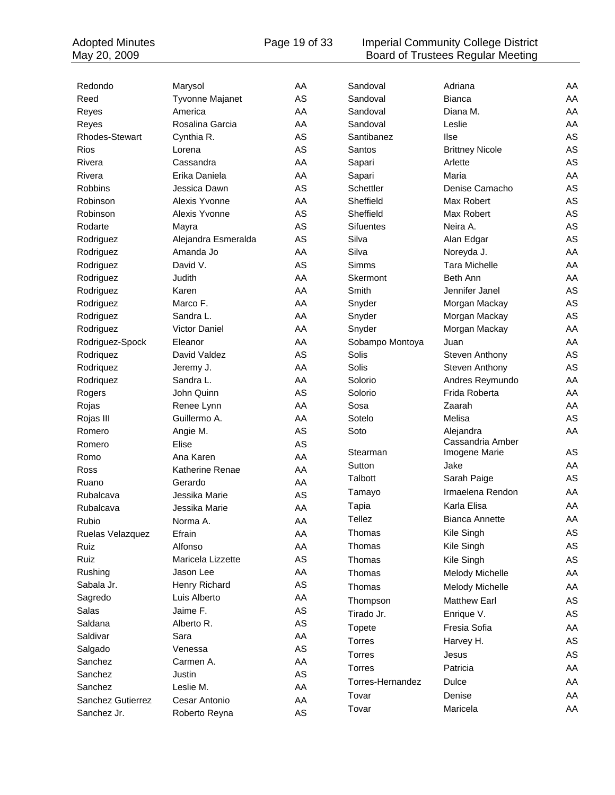#### Adopted Minutes **Page 19 of 33** Imperial Community College District May 20, 2009 **Board of Trustees Regular Meeting**

| Redondo           | Marysol                | AA            | Sandoval         | Adriana                | AA |
|-------------------|------------------------|---------------|------------------|------------------------|----|
| Reed              | Tyvonne Majanet        | AS            | Sandoval         | <b>Bianca</b>          | AA |
| Reyes             | America                | AA            | Sandoval         | Diana M.               | AA |
| Reyes             | Rosalina Garcia        | AA            | Sandoval         | Leslie                 | AA |
| Rhodes-Stewart    | Cynthia R.             | AS            | Santibanez       | <b>Ilse</b>            | AS |
| Rios              | Lorena                 | AS            | Santos           | <b>Brittney Nicole</b> | AS |
| Rivera            | Cassandra              | AA            | Sapari           | Arlette                | AS |
| Rivera            | Erika Daniela          | AA            | Sapari           | Maria                  | AA |
| Robbins           | Jessica Dawn           | AS            | Schettler        | Denise Camacho         | AS |
| Robinson          | Alexis Yvonne          | AA            | Sheffield        | Max Robert             | AS |
| Robinson          | Alexis Yvonne          | AS            | Sheffield        | Max Robert             | AS |
| Rodarte           | Mayra                  | AS            | Sifuentes        | Neira A.               | AS |
| Rodriguez         | Alejandra Esmeralda    | AS            | Silva            | Alan Edgar             | AS |
| Rodriguez         | Amanda Jo              | AA            | Silva            | Noreyda J.             | AA |
| Rodriguez         | David V.               | AS            | Simms            | <b>Tara Michelle</b>   | AA |
| Rodriguez         | Judith                 | AA            | Skermont         | Beth Ann               | AA |
| Rodriguez         | Karen                  | AA            | Smith            | Jennifer Janel         | AS |
| Rodriguez         | Marco F.               | AA            | Snyder           | Morgan Mackay          | AS |
| Rodriguez         | Sandra L.              | AA            | Snyder           | Morgan Mackay          | AS |
| Rodriguez         | Victor Daniel          | AA            | Snyder           | Morgan Mackay          | AA |
| Rodriguez-Spock   | Eleanor                | AA            | Sobampo Montoya  | Juan                   | AA |
| Rodriquez         | David Valdez           | AS            | Solis            | Steven Anthony         | AS |
| Rodriquez         | Jeremy J.              | AA            | Solis            | Steven Anthony         | AS |
| Rodriquez         | Sandra L.              | AA            | Solorio          | Andres Reymundo        | AA |
| Rogers            | John Quinn             | AS            | Solorio          | Frida Roberta          | AA |
| Rojas             | Renee Lynn             | AA            | Sosa             | Zaarah                 | AA |
| Rojas III         | Guillermo A.           | AA            | Sotelo           | Melisa                 | AS |
| Romero            | Angie M.               | AS            | Soto             | Alejandra              | AA |
| Romero            | Elise                  | AS            |                  | Cassandria Amber       |    |
| Romo              | Ana Karen              | AA            | Stearman         | Imogene Marie          | AS |
| Ross              | <b>Katherine Renae</b> | AA            | Sutton           | Jake                   | AA |
| Ruano             | Gerardo                | AA            | Talbott          | Sarah Paige            | AS |
| Rubalcava         | Jessika Marie          | AS            | Tamayo           | Irmaelena Rendon       | AA |
| Rubalcava         | Jessika Marie          | AA            | Tapia            | Karla Elisa            | AA |
| Rubio.            | Norma A.               | AA            | Tellez           | <b>Bianca Annette</b>  | AA |
| Ruelas Velazquez  | Efrain                 | AA            | Thomas           | Kile Singh             | AS |
| Ruiz              | Alfonso                | AA            | Thomas           | Kile Singh             | AS |
| Ruiz              | Maricela Lizzette      | AS            | Thomas           | Kile Singh             | AS |
| Rushing           | Jason Lee              | AA            | Thomas           | Melody Michelle        | AA |
| Sabala Jr.        | Henry Richard          | AS            | Thomas           | <b>Melody Michelle</b> | AA |
| Sagredo           | Luis Alberto           | AA            |                  |                        |    |
| Salas             | Jaime F.               | AS            | Thompson         | <b>Matthew Earl</b>    | AS |
| Saldana           | Alberto R.             | AS            | Tirado Jr.       | Enrique V.             | AS |
| Saldivar          | Sara                   | AA            | Topete           | Fresia Sofia           | AA |
| Salgado           | Venessa                | AS            | Torres           | Harvey H.              | AS |
| Sanchez           | Carmen A.              | AA            | Torres           | Jesus                  | AS |
| Sanchez           | Justin                 | AS            | Torres           | Patricia               | AA |
| Sanchez           | Leslie M.              | AA            | Torres-Hernandez | Dulce                  | AA |
| Sanchez Gutierrez | Cesar Antonio          | AA            | Tovar            | Denise                 | AA |
|                   |                        | $\mathsf{AS}$ | Tovar            | Maricela               | AA |
| Sanchez Jr.       | Roberto Reyna          |               |                  |                        |    |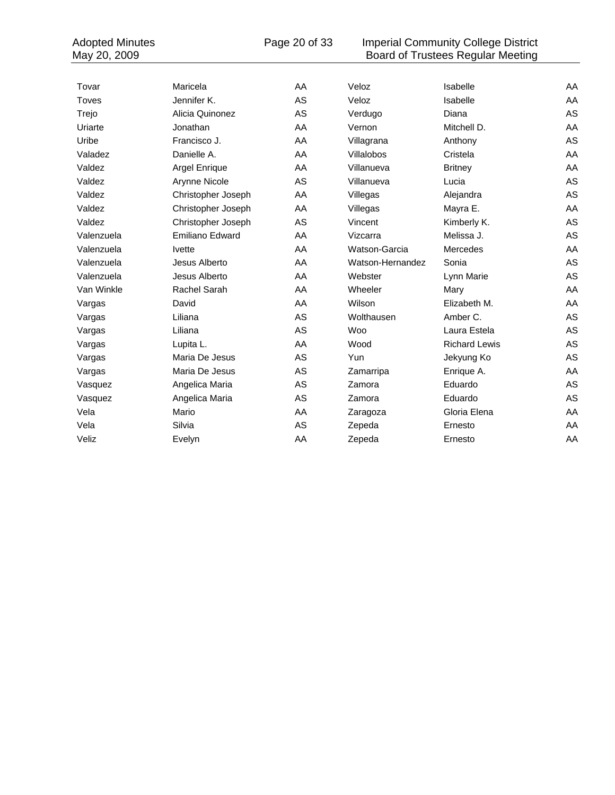Adopted Minutes Page 20 of 33 Imperial Community College District May 20, 2009 **Board of Trustees Regular Meeting** 

| Tovar      | Maricela               | AA | Veloz            | Isabelle             | AA |
|------------|------------------------|----|------------------|----------------------|----|
| Toves      | Jennifer K.            | AS | Veloz            | Isabelle             | AA |
| Trejo      | Alicia Quinonez        | AS | Verdugo          | Diana                | AS |
| Uriarte    | Jonathan               | AA | Vernon           | Mitchell D.          | AA |
| Uribe      | Francisco J.           | AA | Villagrana       | Anthony              | AS |
| Valadez    | Danielle A.            | AA | Villalobos       | Cristela             | AA |
| Valdez     | Argel Enrique          | AA | Villanueva       | <b>Britney</b>       | AA |
| Valdez     | Arynne Nicole          | AS | Villanueva       | Lucia                | AS |
| Valdez     | Christopher Joseph     | AA | Villegas         | Alejandra            | AS |
| Valdez     | Christopher Joseph     | AA | Villegas         | Mayra E.             | AA |
| Valdez     | Christopher Joseph     | AS | Vincent          | Kimberly K.          | AS |
| Valenzuela | <b>Emiliano Edward</b> | AA | Vizcarra         | Melissa J.           | AS |
| Valenzuela | <b>lvette</b>          | AA | Watson-Garcia    | Mercedes             | AA |
| Valenzuela | Jesus Alberto          | AA | Watson-Hernandez | Sonia                | AS |
| Valenzuela | Jesus Alberto          | AA | Webster          | Lynn Marie           | AS |
| Van Winkle | Rachel Sarah           | AA | Wheeler          | Mary                 | AA |
| Vargas     | David                  | AA | Wilson           | Elizabeth M.         | AA |
| Vargas     | Liliana                | AS | Wolthausen       | Amber C.             | AS |
| Vargas     | Liliana                | AS | <b>Woo</b>       | Laura Estela         | AS |
| Vargas     | Lupita L.              | AA | Wood             | <b>Richard Lewis</b> | AS |
| Vargas     | Maria De Jesus         | AS | Yun              | Jekyung Ko           | AS |
| Vargas     | Maria De Jesus         | AS | Zamarripa        | Enrique A.           | AA |
| Vasquez    | Angelica Maria         | AS | Zamora           | Eduardo              | AS |
| Vasquez    | Angelica Maria         | AS | Zamora           | Eduardo              | AS |
| Vela       | Mario                  | AA | Zaragoza         | Gloria Elena         | AA |
| Vela       | Silvia                 | AS | Zepeda           | Ernesto              | AA |
| Veliz      | Evelyn                 | AA | Zepeda           | Ernesto              | AA |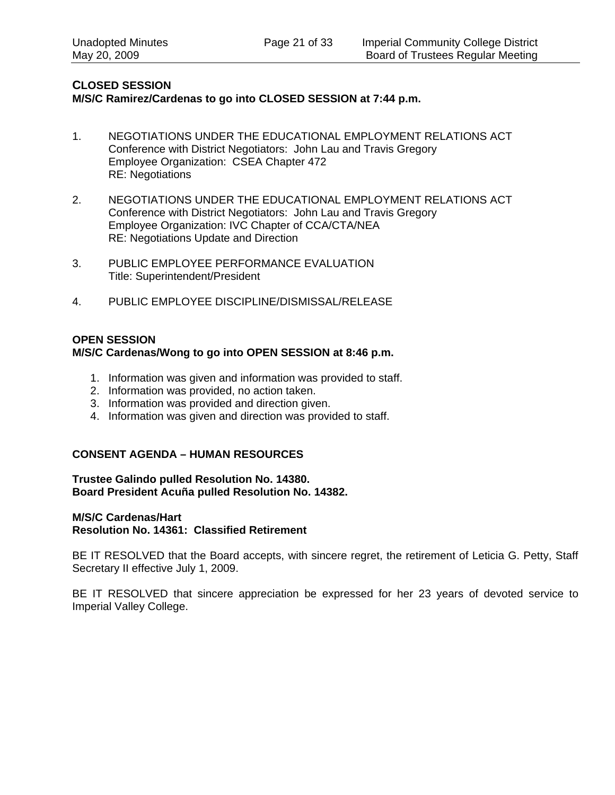#### **CLOSED SESSION M/S/C Ramirez/Cardenas to go into CLOSED SESSION at 7:44 p.m.**

- 1. NEGOTIATIONS UNDER THE EDUCATIONAL EMPLOYMENT RELATIONS ACT Conference with District Negotiators: John Lau and Travis Gregory Employee Organization: CSEA Chapter 472 RE: Negotiations
- 2. NEGOTIATIONS UNDER THE EDUCATIONAL EMPLOYMENT RELATIONS ACT Conference with District Negotiators: John Lau and Travis Gregory Employee Organization: IVC Chapter of CCA/CTA/NEA RE: Negotiations Update and Direction
- 3. PUBLIC EMPLOYEE PERFORMANCE EVALUATION Title: Superintendent/President
- 4. PUBLIC EMPLOYEE DISCIPLINE/DISMISSAL/RELEASE

#### **OPEN SESSION M/S/C Cardenas/Wong to go into OPEN SESSION at 8:46 p.m.**

- 1. Information was given and information was provided to staff.
- 2. Information was provided, no action taken.
- 3. Information was provided and direction given.
- 4. Information was given and direction was provided to staff.

#### **CONSENT AGENDA – HUMAN RESOURCES**

**Trustee Galindo pulled Resolution No. 14380. Board President Acuña pulled Resolution No. 14382.** 

#### **M/S/C Cardenas/Hart**

**Resolution No. 14361: Classified Retirement** 

BE IT RESOLVED that the Board accepts, with sincere regret, the retirement of Leticia G. Petty, Staff Secretary II effective July 1, 2009.

BE IT RESOLVED that sincere appreciation be expressed for her 23 years of devoted service to Imperial Valley College.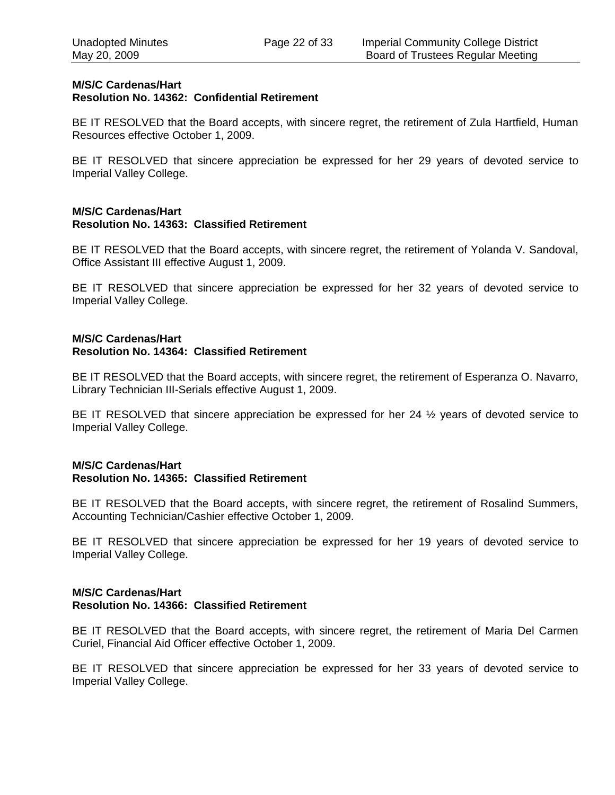#### **M/S/C Cardenas/Hart Resolution No. 14362: Confidential Retirement**

BE IT RESOLVED that the Board accepts, with sincere regret, the retirement of Zula Hartfield, Human Resources effective October 1, 2009.

BE IT RESOLVED that sincere appreciation be expressed for her 29 years of devoted service to Imperial Valley College.

#### **M/S/C Cardenas/Hart Resolution No. 14363: Classified Retirement**

BE IT RESOLVED that the Board accepts, with sincere regret, the retirement of Yolanda V. Sandoval, Office Assistant III effective August 1, 2009.

BE IT RESOLVED that sincere appreciation be expressed for her 32 years of devoted service to Imperial Valley College.

#### **M/S/C Cardenas/Hart Resolution No. 14364: Classified Retirement**

BE IT RESOLVED that the Board accepts, with sincere regret, the retirement of Esperanza O. Navarro, Library Technician III-Serials effective August 1, 2009.

BE IT RESOLVED that sincere appreciation be expressed for her 24  $\frac{1}{2}$  years of devoted service to Imperial Valley College.

#### **M/S/C Cardenas/Hart Resolution No. 14365: Classified Retirement**

BE IT RESOLVED that the Board accepts, with sincere regret, the retirement of Rosalind Summers, Accounting Technician/Cashier effective October 1, 2009.

BE IT RESOLVED that sincere appreciation be expressed for her 19 years of devoted service to Imperial Valley College.

#### **M/S/C Cardenas/Hart Resolution No. 14366: Classified Retirement**

BE IT RESOLVED that the Board accepts, with sincere regret, the retirement of Maria Del Carmen Curiel, Financial Aid Officer effective October 1, 2009.

BE IT RESOLVED that sincere appreciation be expressed for her 33 years of devoted service to Imperial Valley College.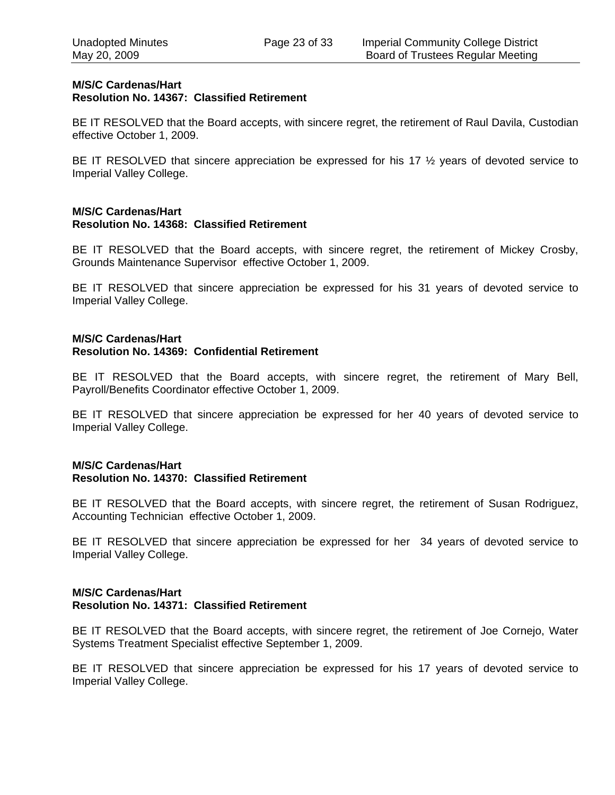#### **M/S/C Cardenas/Hart Resolution No. 14367: Classified Retirement**

BE IT RESOLVED that the Board accepts, with sincere regret, the retirement of Raul Davila, Custodian effective October 1, 2009.

BE IT RESOLVED that sincere appreciation be expressed for his 17  $\frac{1}{2}$  years of devoted service to Imperial Valley College.

#### **M/S/C Cardenas/Hart Resolution No. 14368: Classified Retirement**

BE IT RESOLVED that the Board accepts, with sincere regret, the retirement of Mickey Crosby, Grounds Maintenance Supervisor effective October 1, 2009.

BE IT RESOLVED that sincere appreciation be expressed for his 31 years of devoted service to Imperial Valley College.

#### **M/S/C Cardenas/Hart Resolution No. 14369: Confidential Retirement**

BE IT RESOLVED that the Board accepts, with sincere regret, the retirement of Mary Bell, Payroll/Benefits Coordinator effective October 1, 2009.

BE IT RESOLVED that sincere appreciation be expressed for her 40 years of devoted service to Imperial Valley College.

#### **M/S/C Cardenas/Hart Resolution No. 14370: Classified Retirement**

BE IT RESOLVED that the Board accepts, with sincere regret, the retirement of Susan Rodriguez, Accounting Technician effective October 1, 2009.

BE IT RESOLVED that sincere appreciation be expressed for her 34 years of devoted service to Imperial Valley College.

#### **M/S/C Cardenas/Hart Resolution No. 14371: Classified Retirement**

BE IT RESOLVED that the Board accepts, with sincere regret, the retirement of Joe Cornejo, Water Systems Treatment Specialist effective September 1, 2009.

BE IT RESOLVED that sincere appreciation be expressed for his 17 years of devoted service to Imperial Valley College.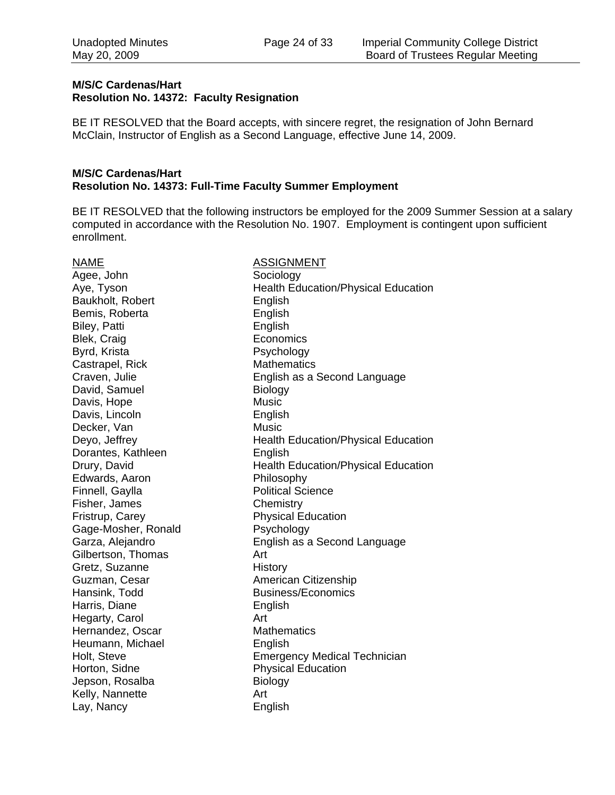#### **M/S/C Cardenas/Hart Resolution No. 14372: Faculty Resignation**

BE IT RESOLVED that the Board accepts, with sincere regret, the resignation of John Bernard McClain, Instructor of English as a Second Language, effective June 14, 2009.

#### **M/S/C Cardenas/Hart Resolution No. 14373: Full-Time Faculty Summer Employment**

BE IT RESOLVED that the following instructors be employed for the 2009 Summer Session at a salary computed in accordance with the Resolution No. 1907. Employment is contingent upon sufficient enrollment.

Agee, John Sociology Baukholt, Robert **English** Bemis, Roberta **English** Biley, Patti **English** Blek, Craig **Economics** Byrd, Krista **Psychology** Castrapel, Rick Mathematics David, Samuel Biology Davis, Hope Music Davis, Lincoln **English** Decker, Van Music Dorantes, Kathleen English Edwards, Aaron Philosophy Finnell, Gaylla **Political Science** Fisher, James Chemistry Fristrup, Carey **Physical Education** Gage-Mosher, Ronald Psychology Gilbertson, Thomas **Art** Gretz, Suzanne History Guzman, Cesar **American Citizenship** Hansink, Todd Business/Economics Harris, Diane **English** Hegarty, Carol **Art** Hernandez, Oscar Mathematics Heumann, Michael **English** Horton, Sidne **Physical Education** Jepson, Rosalba Biology Kelly, Nannette **Art** Lay, Nancy **English** 

NAME NAME ASSIGNMENT Aye, Tyson **Nealth Education/Physical Education** Craven, Julie English as a Second Language Deyo, Jeffrey **Health Education/Physical Education** Drury, David **Education** Health Education/Physical Education Garza, Alejandro English as a Second Language Holt, Steve **Emergency Medical Technician**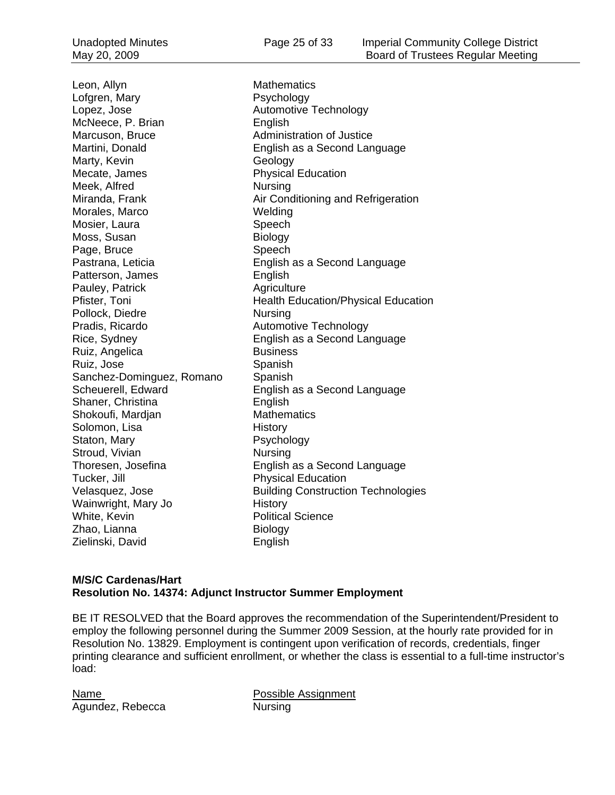Leon, Allyn **Mathematics** Lofgren, Mary **P**sychology Lopez, Jose **Automotive Technology** McNeece, P. Brian English Marcuson, Bruce **Administration of Justice** Marty, Kevin Geology Mecate, James **Physical Education** Meek, Alfred Nursing Morales, Marco Welding Mosier, Laura **Speech** Moss, Susan Biology Page, Bruce Speech Patterson, James **English** Pauley, Patrick **Agriculture** Agriculture Pollock, Diedre Nursing Pradis, Ricardo **Automotive Technology** Ruiz, Angelica Business Ruiz, Jose Spanish Sanchez-Dominguez, Romano Spanish Shaner, Christina **English** Shokoufi, Mardjan Mathematics Solomon, Lisa History Staton, Mary **Psychology** Stroud, Vivian Nursing Tucker, Jill **Tucker**, Jill **Physical Education** Wainwright, Mary Jo History White, Kevin **Political** Science Zhao, Lianna Biology Zielinski, David **English** 

Martini, Donald English as a Second Language Miranda, Frank **Air Conditioning and Refrigeration** Pastrana, Leticia English as a Second Language Pfister, Toni **Health Education/Physical Education** Rice, Sydney English as a Second Language Scheuerell, Edward English as a Second Language Thoresen, Josefina English as a Second Language Velasquez, Jose **Building Construction Technologies** 

#### **M/S/C Cardenas/Hart Resolution No. 14374: Adjunct Instructor Summer Employment**

BE IT RESOLVED that the Board approves the recommendation of the Superintendent/President to employ the following personnel during the Summer 2009 Session, at the hourly rate provided for in Resolution No. 13829. Employment is contingent upon verification of records, credentials, finger printing clearance and sufficient enrollment, or whether the class is essential to a full-time instructor's load:

Agundez, Rebecca Nursing

Name **Name** Possible Assignment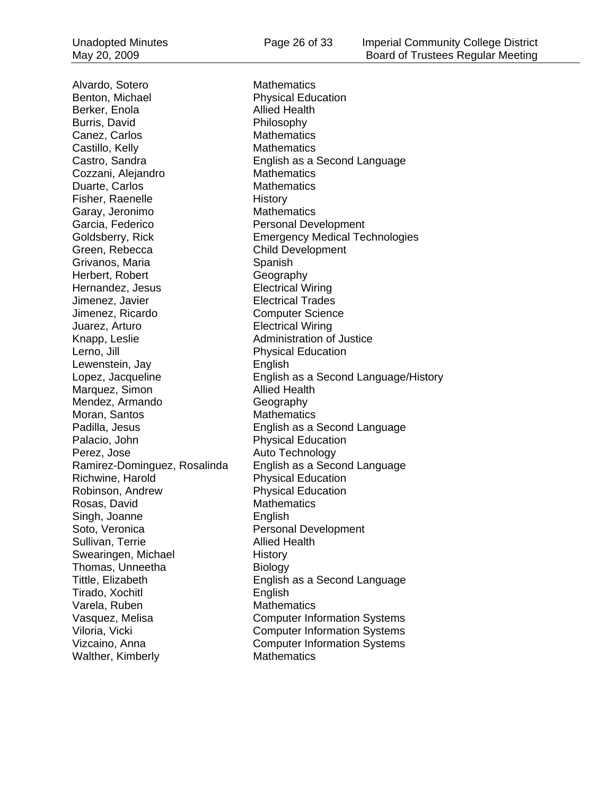Alvardo, Sotero **Mathematics** Benton, Michael **Physical Education** Berker, Enola **Allied Health** Burris, David **Philosophy** Canez, Carlos Mathematics Castillo, Kelly **Mathematics** Cozzani, Alejandro Mathematics Duarte, Carlos **Mathematics** Fisher, Raenelle History Garay, Jeronimo Mathematics Garcia, Federico Personal Development Green, Rebecca Child Development Grivanos, Maria **Spanish** Spanish Herbert, Robert Geography<br>
Hernandez, Jesus<br>
Hernandez, Jesus<br>
Geography Hernandez, Jesus Jimenez, Javier Electrical Trades Jimenez, Ricardo Computer Science Juarez, Arturo Electrical Wiring Knapp, Leslie **Administration of Justice** Lerno, Jill **Example 2018** Physical Education Lewenstein, Jay **English** Marquez, Simon Allied Health Mendez, Armando Geography Moran, Santos Mathematics Palacio, John Physical Education Perez, Jose **Auto Technology** Richwine, Harold **Physical Education** Robinson, Andrew Physical Education Rosas, David Mathematics Singh, Joanne English Soto, Veronica Personal Development Sullivan, Terrie Allied Health Swearingen, Michael **History** Thomas, Unneetha Biology Tirado, Xochitl **English** Varela, Ruben Mathematics Walther, Kimberly **Mathematics** 

Castro, Sandra English as a Second Language Goldsberry, Rick Emergency Medical Technologies Lopez, Jacqueline English as a Second Language/History Padilla, Jesus English as a Second Language Ramirez-Dominguez, Rosalinda English as a Second Language Tittle, Elizabeth English as a Second Language Vasquez, Melisa Computer Information Systems Viloria, Vicki Computer Information Systems Vizcaino, Anna Computer Information Systems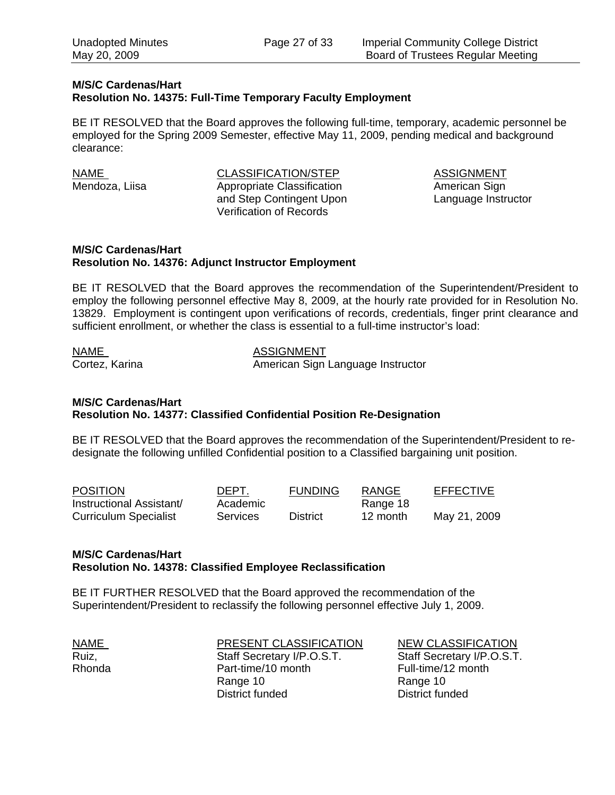#### **M/S/C Cardenas/Hart Resolution No. 14375: Full-Time Temporary Faculty Employment**

BE IT RESOLVED that the Board approves the following full-time, temporary, academic personnel be employed for the Spring 2009 Semester, effective May 11, 2009, pending medical and background clearance:

NAME CLASSIFICATION/STEP ASSIGNMENT Mendoza, Liisa **Appropriate Classification** American Sign and Step Contingent Upon Language Instructor Verification of Records

#### **M/S/C Cardenas/Hart Resolution No. 14376: Adjunct Instructor Employment**

BE IT RESOLVED that the Board approves the recommendation of the Superintendent/President to employ the following personnel effective May 8, 2009, at the hourly rate provided for in Resolution No. 13829. Employment is contingent upon verifications of records, credentials, finger print clearance and sufficient enrollment, or whether the class is essential to a full-time instructor's load:

NAME NAME ASSIGNMENT Cortez, Karina **American Sign Language Instructor** 

#### **M/S/C Cardenas/Hart Resolution No. 14377: Classified Confidential Position Re-Designation**

BE IT RESOLVED that the Board approves the recommendation of the Superintendent/President to redesignate the following unfilled Confidential position to a Classified bargaining unit position.

| <b>POSITION</b>              | DEPT.           | <b>FUNDING</b>  | RANGE    | <b>EFFECTIVE</b> |
|------------------------------|-----------------|-----------------|----------|------------------|
| Instructional Assistant/     | Academic        |                 | Range 18 |                  |
| <b>Curriculum Specialist</b> | <b>Services</b> | <b>District</b> | 12 month | May 21, 2009     |

#### **M/S/C Cardenas/Hart Resolution No. 14378: Classified Employee Reclassification**

BE IT FURTHER RESOLVED that the Board approved the recommendation of the Superintendent/President to reclassify the following personnel effective July 1, 2009.

NAME **NAME** PRESENT CLASSIFICATION NEW CLASSIFICATION Ruiz, Staff Secretary I/P.O.S.T. Staff Secretary I/P.O.S.T. Rhonda **Part-time/10 month** Part-time/10 month Full-time/12 month Range 10 Range 10 District funded District funded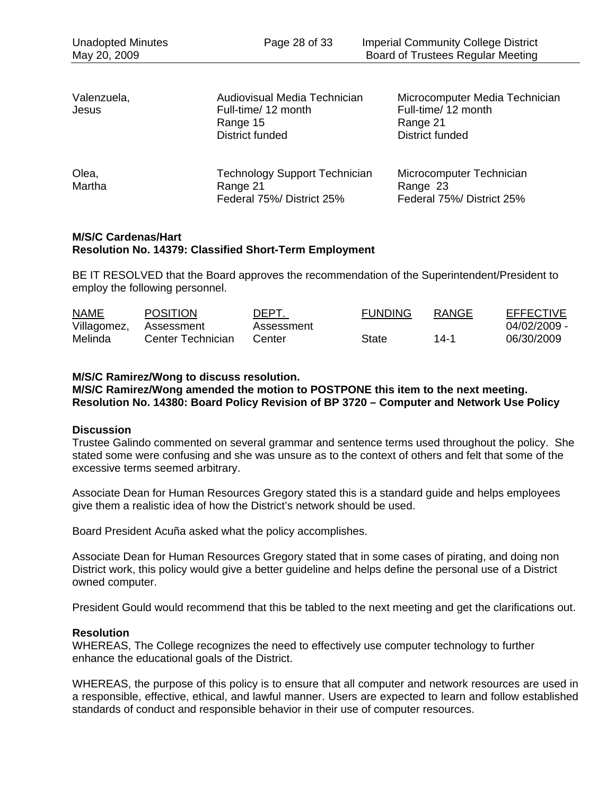| Valenzuela,<br>Jesus | Audiovisual Media Technician<br>Full-time/ 12 month<br>Range 15<br>District funded | Microcomputer Media Technician<br>Full-time/ 12 month<br>Range 21<br>District funded |
|----------------------|------------------------------------------------------------------------------------|--------------------------------------------------------------------------------------|
| Olea,<br>Martha      | <b>Technology Support Technician</b><br>Range 21<br>Federal 75%/ District 25%      | Microcomputer Technician<br>Range 23<br>Federal 75%/ District 25%                    |

#### **M/S/C Cardenas/Hart Resolution No. 14379: Classified Short-Term Employment**

BE IT RESOLVED that the Board approves the recommendation of the Superintendent/President to employ the following personnel.

| <b>NAME</b> | <b>POSITION</b>   | DEPT.      | <b>FUNDING</b> | RANGE | EFFECTIVE    |
|-------------|-------------------|------------|----------------|-------|--------------|
| Villagomez, | Assessment        | Assessment |                |       | 04/02/2009 - |
| Melinda     | Center Technician | Center     | State          | 14-1  | 06/30/2009   |

#### **M/S/C Ramirez/Wong to discuss resolution.**

**M/S/C Ramirez/Wong amended the motion to POSTPONE this item to the next meeting. Resolution No. 14380: Board Policy Revision of BP 3720 – Computer and Network Use Policy** 

#### **Discussion**

Trustee Galindo commented on several grammar and sentence terms used throughout the policy. She stated some were confusing and she was unsure as to the context of others and felt that some of the excessive terms seemed arbitrary.

Associate Dean for Human Resources Gregory stated this is a standard guide and helps employees give them a realistic idea of how the District's network should be used.

Board President Acuña asked what the policy accomplishes.

Associate Dean for Human Resources Gregory stated that in some cases of pirating, and doing non District work, this policy would give a better guideline and helps define the personal use of a District owned computer.

President Gould would recommend that this be tabled to the next meeting and get the clarifications out.

#### **Resolution**

WHEREAS, The College recognizes the need to effectively use computer technology to further enhance the educational goals of the District.

WHEREAS, the purpose of this policy is to ensure that all computer and network resources are used in a responsible, effective, ethical, and lawful manner. Users are expected to learn and follow established standards of conduct and responsible behavior in their use of computer resources.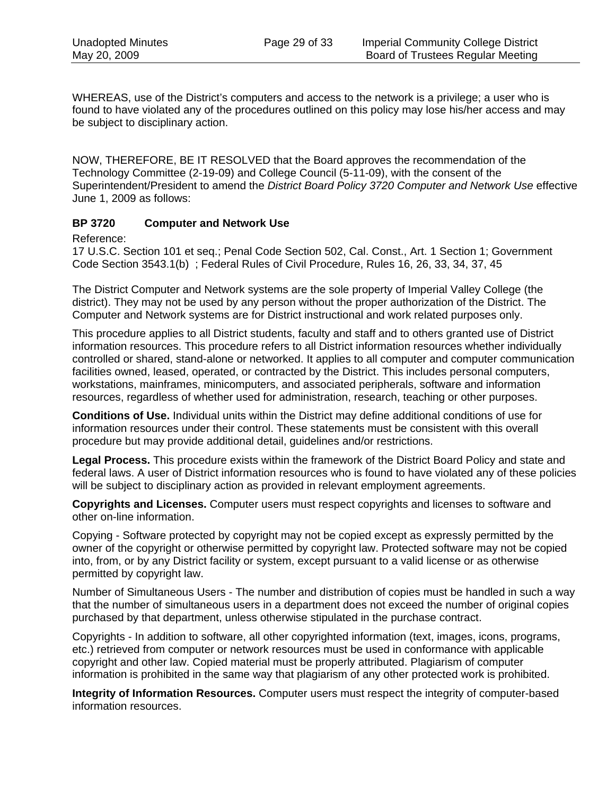WHEREAS, use of the District's computers and access to the network is a privilege; a user who is found to have violated any of the procedures outlined on this policy may lose his/her access and may be subject to disciplinary action.

NOW, THEREFORE, BE IT RESOLVED that the Board approves the recommendation of the Technology Committee (2-19-09) and College Council (5-11-09), with the consent of the Superintendent/President to amend the *District Board Policy 3720 Computer and Network Use* effective June 1, 2009 as follows:

#### **BP 3720 Computer and Network Use**

Reference:

17 U.S.C. Section 101 et seq.; Penal Code Section 502, Cal. Const., Art. 1 Section 1; Government Code Section 3543.1(b) ; Federal Rules of Civil Procedure, Rules 16, 26, 33, 34, 37, 45

The District Computer and Network systems are the sole property of Imperial Valley College (the district). They may not be used by any person without the proper authorization of the District. The Computer and Network systems are for District instructional and work related purposes only.

This procedure applies to all District students, faculty and staff and to others granted use of District information resources. This procedure refers to all District information resources whether individually controlled or shared, stand-alone or networked. It applies to all computer and computer communication facilities owned, leased, operated, or contracted by the District. This includes personal computers, workstations, mainframes, minicomputers, and associated peripherals, software and information resources, regardless of whether used for administration, research, teaching or other purposes.

**Conditions of Use.** Individual units within the District may define additional conditions of use for information resources under their control. These statements must be consistent with this overall procedure but may provide additional detail, guidelines and/or restrictions.

**Legal Process.** This procedure exists within the framework of the District Board Policy and state and federal laws. A user of District information resources who is found to have violated any of these policies will be subject to disciplinary action as provided in relevant employment agreements.

**Copyrights and Licenses.** Computer users must respect copyrights and licenses to software and other on-line information.

Copying - Software protected by copyright may not be copied except as expressly permitted by the owner of the copyright or otherwise permitted by copyright law. Protected software may not be copied into, from, or by any District facility or system, except pursuant to a valid license or as otherwise permitted by copyright law.

Number of Simultaneous Users - The number and distribution of copies must be handled in such a way that the number of simultaneous users in a department does not exceed the number of original copies purchased by that department, unless otherwise stipulated in the purchase contract.

Copyrights - In addition to software, all other copyrighted information (text, images, icons, programs, etc.) retrieved from computer or network resources must be used in conformance with applicable copyright and other law. Copied material must be properly attributed. Plagiarism of computer information is prohibited in the same way that plagiarism of any other protected work is prohibited.

**Integrity of Information Resources.** Computer users must respect the integrity of computer-based information resources.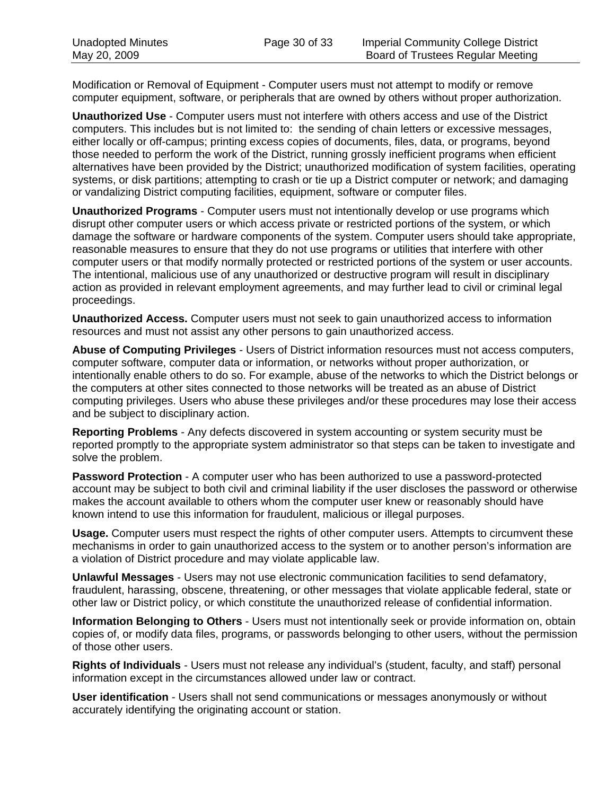Modification or Removal of Equipment - Computer users must not attempt to modify or remove computer equipment, software, or peripherals that are owned by others without proper authorization.

**Unauthorized Use** - Computer users must not interfere with others access and use of the District computers. This includes but is not limited to: the sending of chain letters or excessive messages, either locally or off-campus; printing excess copies of documents, files, data, or programs, beyond those needed to perform the work of the District, running grossly inefficient programs when efficient alternatives have been provided by the District; unauthorized modification of system facilities, operating systems, or disk partitions; attempting to crash or tie up a District computer or network; and damaging or vandalizing District computing facilities, equipment, software or computer files.

**Unauthorized Programs** - Computer users must not intentionally develop or use programs which disrupt other computer users or which access private or restricted portions of the system, or which damage the software or hardware components of the system. Computer users should take appropriate, reasonable measures to ensure that they do not use programs or utilities that interfere with other computer users or that modify normally protected or restricted portions of the system or user accounts. The intentional, malicious use of any unauthorized or destructive program will result in disciplinary action as provided in relevant employment agreements, and may further lead to civil or criminal legal proceedings.

**Unauthorized Access.** Computer users must not seek to gain unauthorized access to information resources and must not assist any other persons to gain unauthorized access.

**Abuse of Computing Privileges** - Users of District information resources must not access computers, computer software, computer data or information, or networks without proper authorization, or intentionally enable others to do so. For example, abuse of the networks to which the District belongs or the computers at other sites connected to those networks will be treated as an abuse of District computing privileges. Users who abuse these privileges and/or these procedures may lose their access and be subject to disciplinary action.

**Reporting Problems** - Any defects discovered in system accounting or system security must be reported promptly to the appropriate system administrator so that steps can be taken to investigate and solve the problem.

**Password Protection** - A computer user who has been authorized to use a password-protected account may be subject to both civil and criminal liability if the user discloses the password or otherwise makes the account available to others whom the computer user knew or reasonably should have known intend to use this information for fraudulent, malicious or illegal purposes.

**Usage.** Computer users must respect the rights of other computer users. Attempts to circumvent these mechanisms in order to gain unauthorized access to the system or to another person's information are a violation of District procedure and may violate applicable law.

**Unlawful Messages** - Users may not use electronic communication facilities to send defamatory, fraudulent, harassing, obscene, threatening, or other messages that violate applicable federal, state or other law or District policy, or which constitute the unauthorized release of confidential information.

**Information Belonging to Others** - Users must not intentionally seek or provide information on, obtain copies of, or modify data files, programs, or passwords belonging to other users, without the permission of those other users.

**Rights of Individuals** - Users must not release any individual's (student, faculty, and staff) personal information except in the circumstances allowed under law or contract.

**User identification** - Users shall not send communications or messages anonymously or without accurately identifying the originating account or station.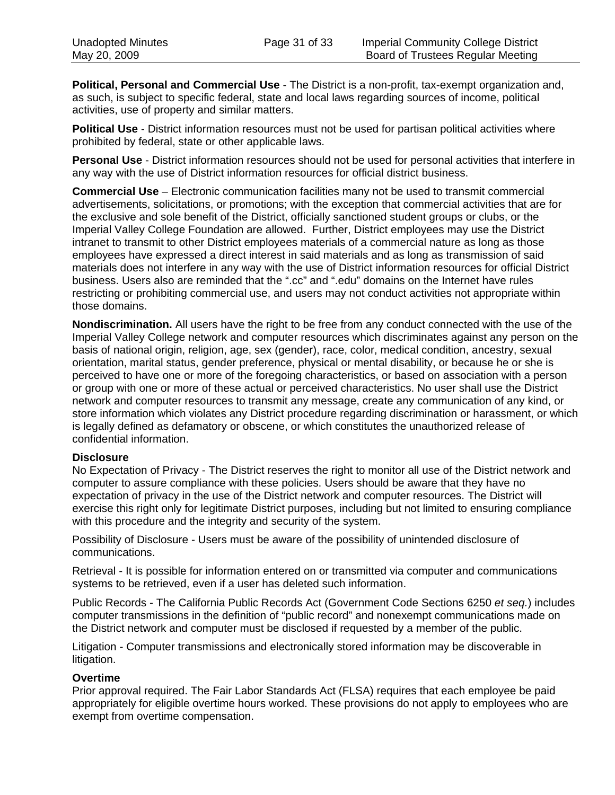**Political, Personal and Commercial Use** - The District is a non-profit, tax-exempt organization and, as such, is subject to specific federal, state and local laws regarding sources of income, political activities, use of property and similar matters.

**Political Use** - District information resources must not be used for partisan political activities where prohibited by federal, state or other applicable laws.

**Personal Use** - District information resources should not be used for personal activities that interfere in any way with the use of District information resources for official district business.

**Commercial Use** – Electronic communication facilities many not be used to transmit commercial advertisements, solicitations, or promotions; with the exception that commercial activities that are for the exclusive and sole benefit of the District, officially sanctioned student groups or clubs, or the Imperial Valley College Foundation are allowed. Further, District employees may use the District intranet to transmit to other District employees materials of a commercial nature as long as those employees have expressed a direct interest in said materials and as long as transmission of said materials does not interfere in any way with the use of District information resources for official District business. Users also are reminded that the ".cc" and ".edu" domains on the Internet have rules restricting or prohibiting commercial use, and users may not conduct activities not appropriate within those domains.

**Nondiscrimination.** All users have the right to be free from any conduct connected with the use of the Imperial Valley College network and computer resources which discriminates against any person on the basis of national origin, religion, age, sex (gender), race, color, medical condition, ancestry, sexual orientation, marital status, gender preference, physical or mental disability, or because he or she is perceived to have one or more of the foregoing characteristics, or based on association with a person or group with one or more of these actual or perceived characteristics. No user shall use the District network and computer resources to transmit any message, create any communication of any kind, or store information which violates any District procedure regarding discrimination or harassment, or which is legally defined as defamatory or obscene, or which constitutes the unauthorized release of confidential information.

#### **Disclosure**

No Expectation of Privacy - The District reserves the right to monitor all use of the District network and computer to assure compliance with these policies. Users should be aware that they have no expectation of privacy in the use of the District network and computer resources. The District will exercise this right only for legitimate District purposes, including but not limited to ensuring compliance with this procedure and the integrity and security of the system.

Possibility of Disclosure - Users must be aware of the possibility of unintended disclosure of communications.

Retrieval - It is possible for information entered on or transmitted via computer and communications systems to be retrieved, even if a user has deleted such information.

Public Records - The California Public Records Act (Government Code Sections 6250 *et seq.*) includes computer transmissions in the definition of "public record" and nonexempt communications made on the District network and computer must be disclosed if requested by a member of the public.

Litigation - Computer transmissions and electronically stored information may be discoverable in litigation.

#### **Overtime**

Prior approval required. The Fair Labor Standards Act (FLSA) requires that each employee be paid appropriately for eligible overtime hours worked. These provisions do not apply to employees who are exempt from overtime compensation.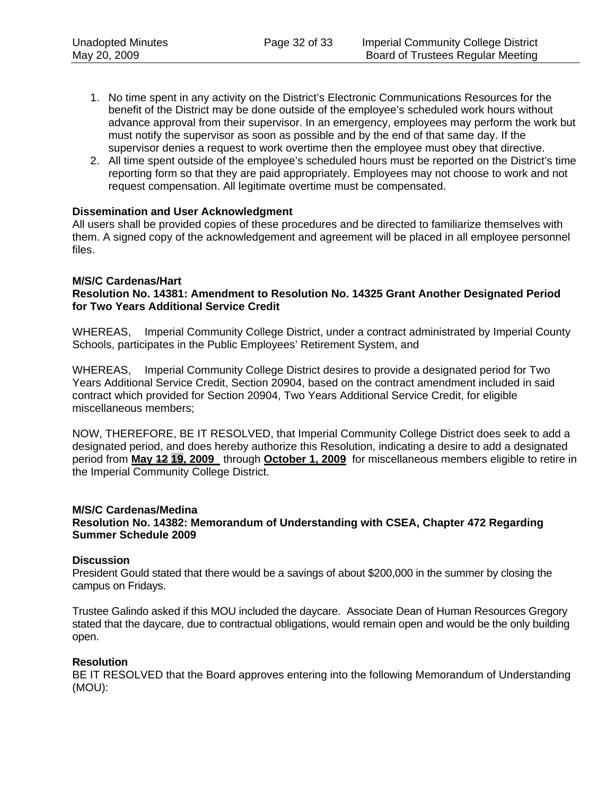- 1. No time spent in any activity on the District's Electronic Communications Resources for the benefit of the District may be done outside of the employee's scheduled work hours without advance approval from their supervisor. In an emergency, employees may perform the work but must notify the supervisor as soon as possible and by the end of that same day. If the supervisor denies a request to work overtime then the employee must obey that directive.
- 2. All time spent outside of the employee's scheduled hours must be reported on the District's time reporting form so that they are paid appropriately. Employees may not choose to work and not request compensation. All legitimate overtime must be compensated.

#### **Dissemination and User Acknowledgment**

All users shall be provided copies of these procedures and be directed to familiarize themselves with them. A signed copy of the acknowledgement and agreement will be placed in all employee personnel files.

#### **M/S/C Cardenas/Hart**

#### **Resolution No. 14381: Amendment to Resolution No. 14325 Grant Another Designated Period for Two Years Additional Service Credit**

WHEREAS, Imperial Community College District, under a contract administrated by Imperial County Schools, participates in the Public Employees' Retirement System, and

WHEREAS, Imperial Community College District desires to provide a designated period for Two Years Additional Service Credit, Section 20904, based on the contract amendment included in said contract which provided for Section 20904, Two Years Additional Service Credit, for eligible miscellaneous members;

NOW, THEREFORE, BE IT RESOLVED, that Imperial Community College District does seek to add a designated period, and does hereby authorize this Resolution, indicating a desire to add a designated period from **May 12 19, 2009** through **October 1, 2009** for miscellaneous members eligible to retire in the Imperial Community College District.

#### **M/S/C Cardenas/Medina**

**Resolution No. 14382: Memorandum of Understanding with CSEA, Chapter 472 Regarding Summer Schedule 2009** 

#### **Discussion**

President Gould stated that there would be a savings of about \$200,000 in the summer by closing the campus on Fridays.

Trustee Galindo asked if this MOU included the daycare. Associate Dean of Human Resources Gregory stated that the daycare, due to contractual obligations, would remain open and would be the only building open.

#### **Resolution**

BE IT RESOLVED that the Board approves entering into the following Memorandum of Understanding (MOU):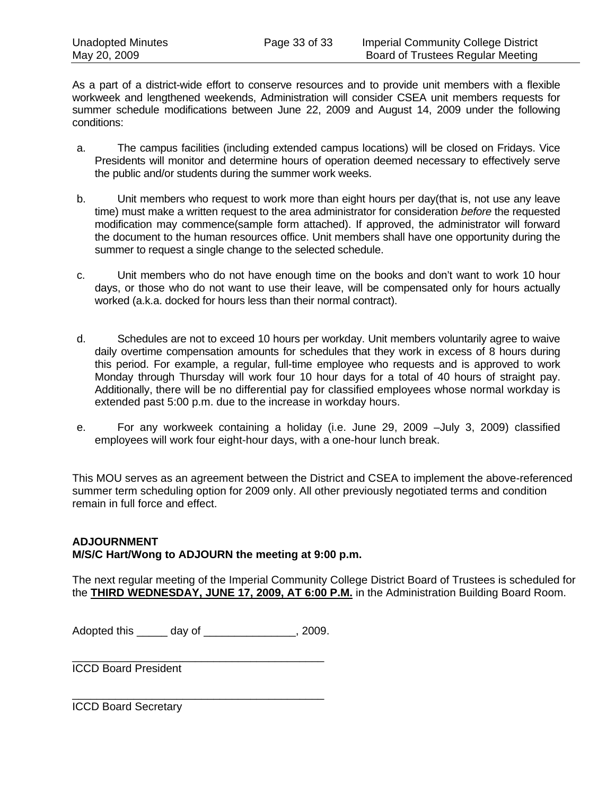As a part of a district-wide effort to conserve resources and to provide unit members with a flexible workweek and lengthened weekends, Administration will consider CSEA unit members requests for summer schedule modifications between June 22, 2009 and August 14, 2009 under the following conditions:

- a. The campus facilities (including extended campus locations) will be closed on Fridays. Vice Presidents will monitor and determine hours of operation deemed necessary to effectively serve the public and/or students during the summer work weeks.
- b. Unit members who request to work more than eight hours per day(that is, not use any leave time) must make a written request to the area administrator for consideration *before* the requested modification may commence(sample form attached). If approved, the administrator will forward the document to the human resources office. Unit members shall have one opportunity during the summer to request a single change to the selected schedule.
- c. Unit members who do not have enough time on the books and don't want to work 10 hour days, or those who do not want to use their leave, will be compensated only for hours actually worked (a.k.a. docked for hours less than their normal contract).
- d. Schedules are not to exceed 10 hours per workday. Unit members voluntarily agree to waive daily overtime compensation amounts for schedules that they work in excess of 8 hours during this period. For example, a regular, full-time employee who requests and is approved to work Monday through Thursday will work four 10 hour days for a total of 40 hours of straight pay. Additionally, there will be no differential pay for classified employees whose normal workday is extended past 5:00 p.m. due to the increase in workday hours.
- e. For any workweek containing a holiday (i.e. June 29, 2009 –July 3, 2009) classified employees will work four eight-hour days, with a one-hour lunch break.

This MOU serves as an agreement between the District and CSEA to implement the above-referenced summer term scheduling option for 2009 only. All other previously negotiated terms and condition remain in full force and effect.

#### **ADJOURNMENT M/S/C Hart/Wong to ADJOURN the meeting at 9:00 p.m.**

The next regular meeting of the Imperial Community College District Board of Trustees is scheduled for the **THIRD WEDNESDAY, JUNE 17, 2009, AT 6:00 P.M.** in the Administration Building Board Room.

Adopted this \_\_\_\_\_ day of \_\_\_\_\_\_\_\_\_\_\_\_\_\_\_, 2009.

\_\_\_\_\_\_\_\_\_\_\_\_\_\_\_\_\_\_\_\_\_\_\_\_\_\_\_\_\_\_\_\_\_\_\_\_\_\_\_\_\_

\_\_\_\_\_\_\_\_\_\_\_\_\_\_\_\_\_\_\_\_\_\_\_\_\_\_\_\_\_\_\_\_\_\_\_\_\_\_\_\_\_

ICCD Board President

ICCD Board Secretary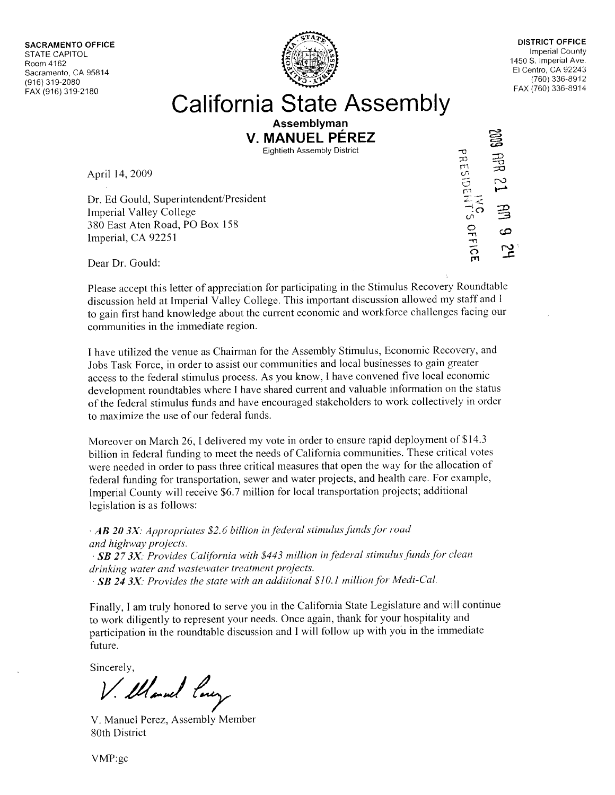**SACRAMENTO OFFICE STATE CAPITOL** Room 4162 Sacramento, CA 95814 (916) 319-2080 FAX (916) 319-2180



**DISTRICT OFFICE Imperial County** 1450 S. Imperial Ave. El Centro, CA 92243 (760) 336-8912 FAX (760) 336-8914

## **California State Assembly**

**Assemblyman** V. MANUEL PÉREZ

**Eightieth Assembly District** 

April 14, 2009

Dr. Ed Gould, Superintendent/President **Imperial Valley College** 380 East Aten Road, PO Box 158 Imperial, CA 92251

邕 PRESIDENT'S OFFICI  $\frac{1}{25}$ 

Dear Dr. Gould:

Please accept this letter of appreciation for participating in the Stimulus Recovery Roundtable discussion held at Imperial Valley College. This important discussion allowed my staff and I to gain first hand knowledge about the current economic and workforce challenges facing our communities in the immediate region.

I have utilized the venue as Chairman for the Assembly Stimulus, Economic Recovery, and Jobs Task Force, in order to assist our communities and local businesses to gain greater access to the federal stimulus process. As you know, I have convened five local economic development roundtables where I have shared current and valuable information on the status of the federal stimulus funds and have encouraged stakeholders to work collectively in order to maximize the use of our federal funds.

Moreover on March 26, I delivered my vote in order to ensure rapid deployment of \$14.3 billion in federal funding to meet the needs of California communities. These critical votes were needed in order to pass three critical measures that open the way for the allocation of federal funding for transportation, sewer and water projects, and health care. For example, Imperial County will receive \$6.7 million for local transportation projects; additional legislation is as follows:

 $\cdot$  AB 20 3X: Appropriates \$2.6 billion in federal stimulus funds for road and highway projects.

· SB 27 3X: Provides California with \$443 million in federal stimulus funds for clean drinking water and wastewater treatment projects.  $\cdot$  SB 24 3X: Provides the state with an additional \$10.1 million for Medi-Cal.

Finally, I am truly honored to serve you in the California State Legislature and will continue to work diligently to represent your needs. Once again, thank for your hospitality and participation in the roundtable discussion and I will follow up with you in the immediate future.

Sincerely,

V. Marcel long

V. Manuel Perez, Assembly Member 80th District

VMP:gc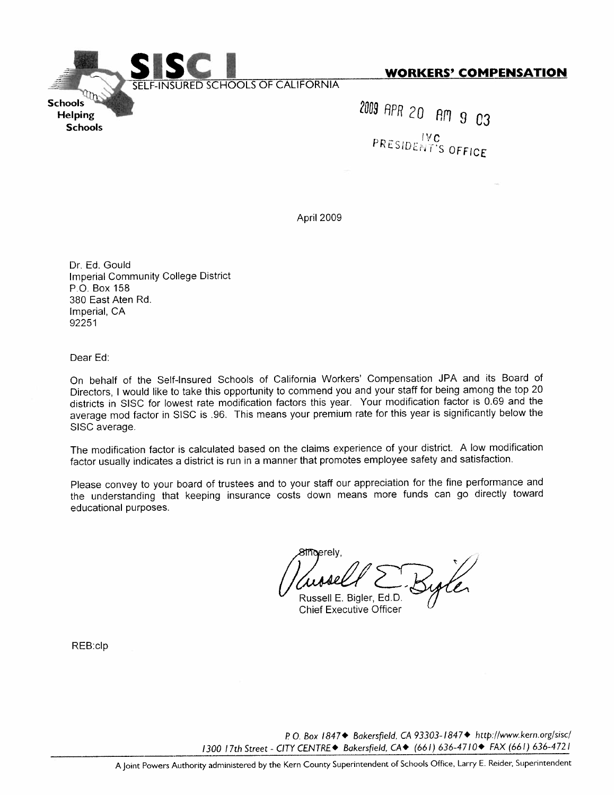

**WORKERS' COMPENSATION** 

2009 APR 20 AM 9 03 PRESIDENT'S OFFICE

April 2009

Dr. Ed. Gould **Imperial Community College District** P.O. Box 158 380 East Aten Rd. Imperial, CA 92251

Dear Ed:

On behalf of the Self-Insured Schools of California Workers' Compensation JPA and its Board of Directors, I would like to take this opportunity to commend you and your staff for being among the top 20 districts in SISC for lowest rate modification factors this year. Your modification factor is 0.69 and the average mod factor in SISC is .96. This means your premium rate for this year is significantly below the SISC average.

The modification factor is calculated based on the claims experience of your district. A low modification factor usually indicates a district is run in a manner that promotes employee safety and satisfaction.

Please convey to your board of trustees and to your staff our appreciation for the fine performance and the understanding that keeping insurance costs down means more funds can go directly toward educational purposes.

**meerelv** Russell E. Bigler, Ed.D.

**Chief Executive Officer** 

REB:clp

P.O. Box 1847◆ Bakersfield, CA 93303-1847◆ http://www.kern.org/sisc/ 1300 17th Street - CITY CENTRE◆ Bakersfield, CA◆ (661) 636-4710◆ FAX (661) 636-4721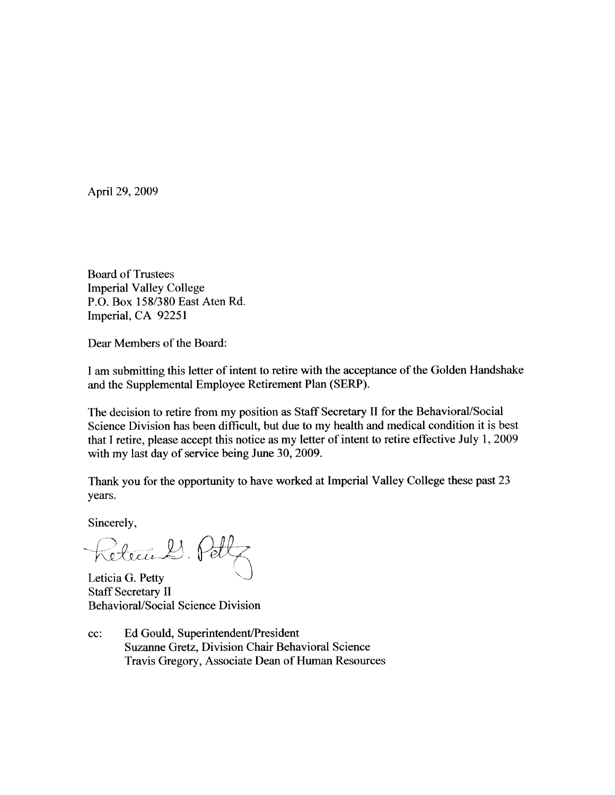April 29, 2009

**Board of Trustees Imperial Valley College** P.O. Box 158/380 East Aten Rd. Imperial, CA 92251

Dear Members of the Board:

I am submitting this letter of intent to retire with the acceptance of the Golden Handshake and the Supplemental Employee Retirement Plan (SERP).

The decision to retire from my position as Staff Secretary II for the Behavioral/Social Science Division has been difficult, but due to my health and medical condition it is best that I retire, please accept this notice as my letter of intent to retire effective July 1, 2009 with my last day of service being June 30, 2009.

Thank you for the opportunity to have worked at Imperial Valley College these past 23 years.

Sincerely,

Return 2. Pet

Leticia G. Petty **Staff Secretary II Behavioral/Social Science Division** 

Ed Gould, Superintendent/President cc: Suzanne Gretz, Division Chair Behavioral Science Travis Gregory, Associate Dean of Human Resources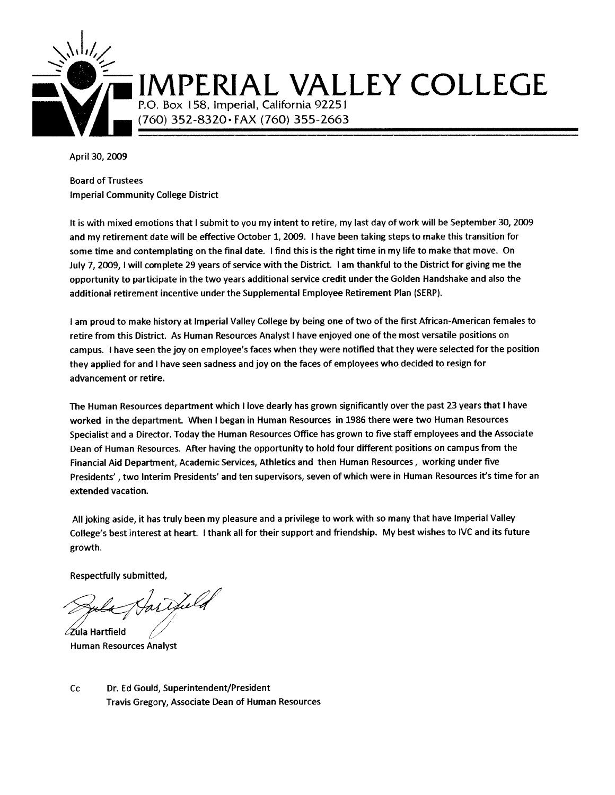

# IMPERIAL VALLEY COLLEGE

P.O. Box 158, Imperial, California 92251 (760) 352-8320 · FAX (760) 355-2663

April 30, 2009

**Board of Trustees Imperial Community College District** 

It is with mixed emotions that I submit to you my intent to retire, my last day of work will be September 30, 2009 and my retirement date will be effective October 1, 2009. I have been taking steps to make this transition for some time and contemplating on the final date. I find this is the right time in my life to make that move. On July 7, 2009, I will complete 29 years of service with the District. I am thankful to the District for giving me the opportunity to participate in the two years additional service credit under the Golden Handshake and also the additional retirement incentive under the Supplemental Employee Retirement Plan (SERP).

I am proud to make history at Imperial Valley College by being one of two of the first African-American females to retire from this District. As Human Resources Analyst I have enjoyed one of the most versatile positions on campus. I have seen the joy on employee's faces when they were notified that they were selected for the position they applied for and I have seen sadness and joy on the faces of employees who decided to resign for advancement or retire.

The Human Resources department which I love dearly has grown significantly over the past 23 years that I have worked in the department. When I began in Human Resources in 1986 there were two Human Resources Specialist and a Director. Today the Human Resources Office has grown to five staff employees and the Associate Dean of Human Resources. After having the opportunity to hold four different positions on campus from the Financial Aid Department, Academic Services, Athletics and then Human Resources, working under five Presidents', two Interim Presidents' and ten supervisors, seven of which were in Human Resources it's time for an extended vacation.

All joking aside, it has truly been my pleasure and a privilege to work with so many that have Imperial Valley College's best interest at heart. I thank all for their support and friendship. My best wishes to IVC and its future growth.

Respectfully submitted,

artheld  $\angle$ Zula Hartfield

**Human Resources Analyst** 

 $C<sub>C</sub>$ Dr. Ed Gould, Superintendent/President Travis Gregory, Associate Dean of Human Resources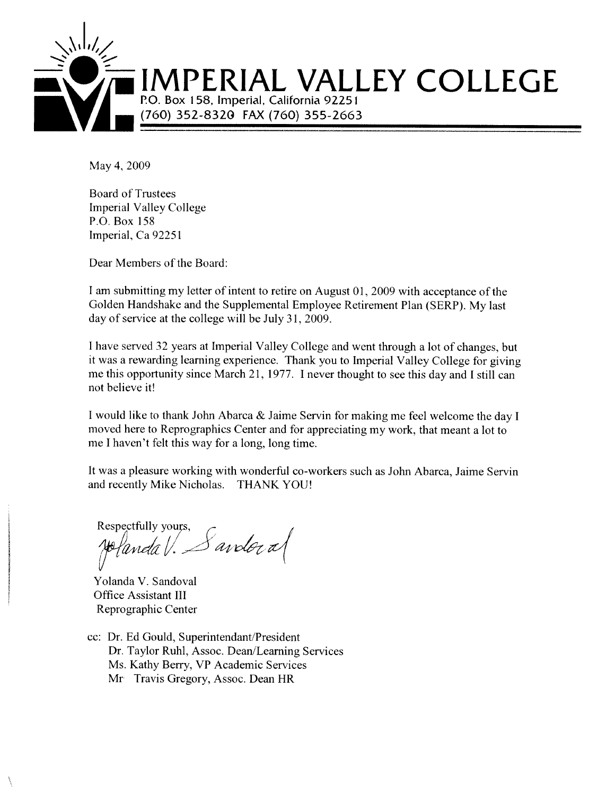

May 4, 2009

**Board of Trustees Imperial Valley College** P.O. Box 158 Imperial, Ca 92251

Dear Members of the Board:

I am submitting my letter of intent to retire on August 01, 2009 with acceptance of the Golden Handshake and the Supplemental Employee Retirement Plan (SERP). My last day of service at the college will be July 31, 2009.

I have served 32 years at Imperial Valley College and went through a lot of changes, but it was a rewarding learning experience. Thank you to Imperial Valley College for giving me this opportunity since March 21, 1977. I never thought to see this day and I still can not believe it!

I would like to thank John Abarca & Jaime Servin for making me feel welcome the day I moved here to Reprographics Center and for appreciating my work, that meant a lot to me I haven't felt this way for a long, long time.

It was a pleasure working with wonderful co-workers such as John Abarca, Jaime Servin and recently Mike Nicholas. THANK YOU!

Respectfully yours,  $S$  and  $\sigma$  al polanda V.

Yolanda V. Sandoval **Office Assistant III** Reprographic Center

cc: Dr. Ed Gould, Superintendant/President Dr. Taylor Ruhl, Assoc. Dean/Learning Services Ms. Kathy Berry, VP Academic Services Mr Travis Gregory, Assoc. Dean HR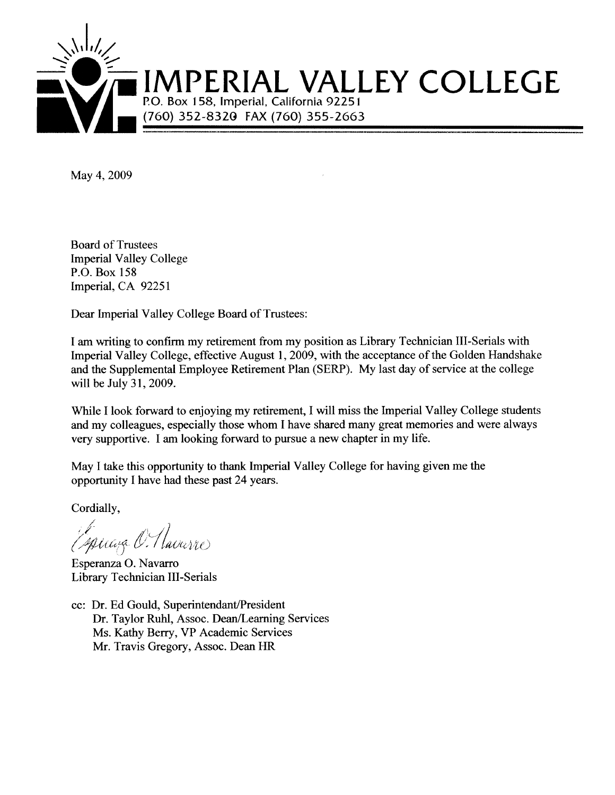

May 4, 2009

**Board of Trustees Imperial Valley College** P.O. Box 158 Imperial, CA 92251

Dear Imperial Valley College Board of Trustees:

I am writing to confirm my retirement from my position as Library Technician III-Serials with Imperial Valley College, effective August 1, 2009, with the acceptance of the Golden Handshake and the Supplemental Employee Retirement Plan (SERP). My last day of service at the college will be July 31, 2009.

While I look forward to enjoying my retirement, I will miss the Imperial Valley College students and my colleagues, especially those whom I have shared many great memories and were always very supportive. I am looking forward to pursue a new chapter in my life.

May I take this opportunity to thank Imperial Valley College for having given me the opportunity I have had these past 24 years.

Cordially,

Espiraza O. Havarre

Esperanza O. Navarro Library Technician III-Serials

cc: Dr. Ed Gould, Superintendant/President Dr. Taylor Ruhl, Assoc. Dean/Learning Services Ms. Kathy Berry, VP Academic Services Mr. Travis Gregory, Assoc. Dean HR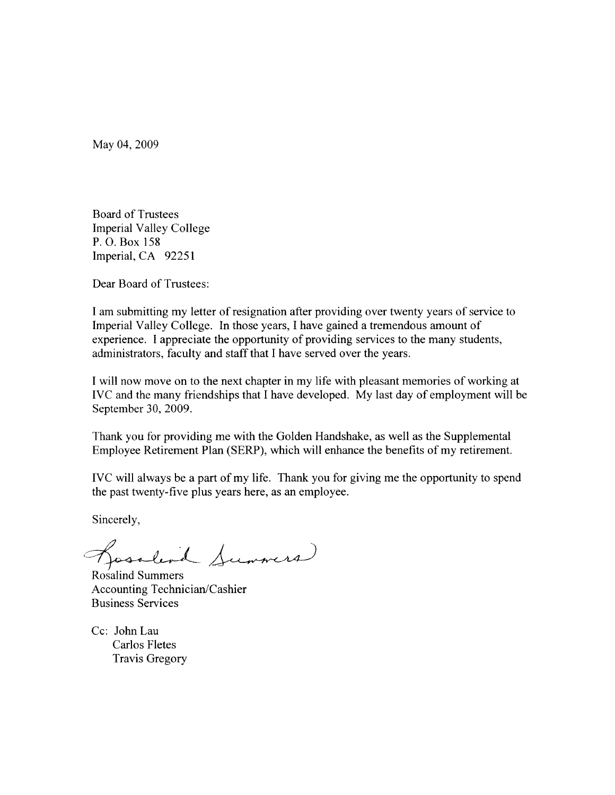May 04, 2009

**Board of Trustees Imperial Valley College** P.O. Box 158 Imperial, CA 92251

Dear Board of Trustees:

I am submitting my letter of resignation after providing over twenty years of service to Imperial Valley College. In those years, I have gained a tremendous amount of experience. I appreciate the opportunity of providing services to the many students, administrators, faculty and staff that I have served over the years.

I will now move on to the next chapter in my life with pleasant memories of working at IVC and the many friendships that I have developed. My last day of employment will be September 30, 2009.

Thank you for providing me with the Golden Handshake, as well as the Supplemental Employee Retirement Plan (SERP), which will enhance the benefits of my retirement.

IVC will always be a part of my life. Thank you for giving me the opportunity to spend the past twenty-five plus years here, as an employee.

Sincerely,

Gosslind Summers

Rosalind Summers Accounting Technician/Cashier **Business Services** 

Cc: John Lau Carlos Fletes **Travis Gregory**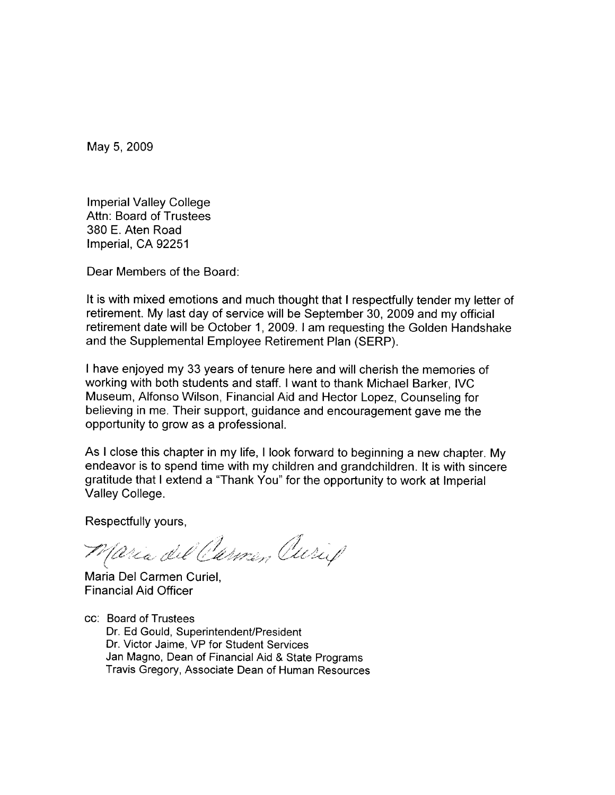May 5, 2009

**Imperial Valley College** Attn: Board of Trustees 380 E. Aten Road Imperial, CA 92251

Dear Members of the Board:

It is with mixed emotions and much thought that I respectfully tender my letter of retirement. My last day of service will be September 30, 2009 and my official retirement date will be October 1, 2009. I am requesting the Golden Handshake and the Supplemental Employee Retirement Plan (SERP).

I have enjoyed my 33 years of tenure here and will cherish the memories of working with both students and staff. I want to thank Michael Barker, IVC Museum, Alfonso Wilson, Financial Aid and Hector Lopez, Counseling for believing in me. Their support, guidance and encouragement gave me the opportunity to grow as a professional.

As I close this chapter in my life, I look forward to beginning a new chapter. My endeavor is to spend time with my children and grandchildren. It is with sincere gratitude that I extend a "Thank You" for the opportunity to work at Imperial Valley College.

Respectfully yours,

Maria del Carmen Curif

Maria Del Carmen Curiel, **Financial Aid Officer** 

cc: Board of Trustees Dr. Ed Gould, Superintendent/President Dr. Victor Jaime, VP for Student Services Jan Magno, Dean of Financial Aid & State Programs Travis Gregory, Associate Dean of Human Resources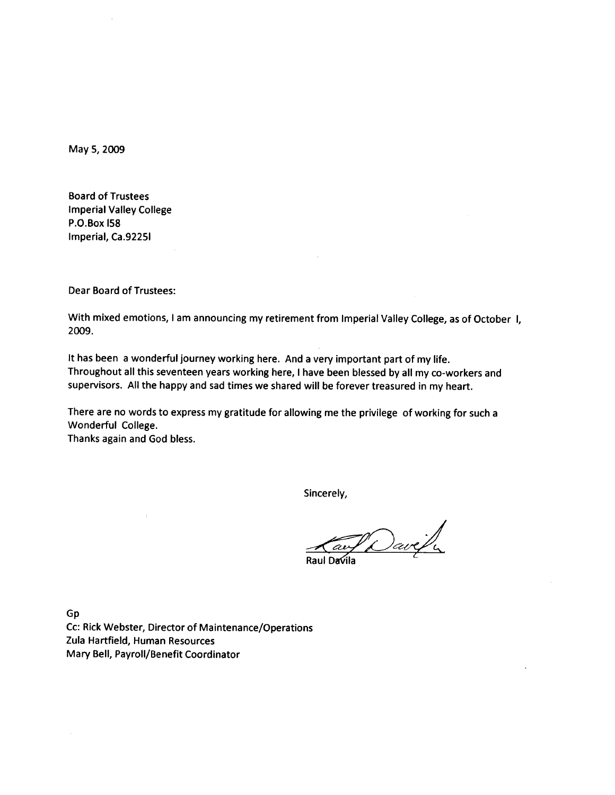May 5, 2009

**Board of Trustees Imperial Valley College** P.O.Box I58 Imperial, Ca.9225I

**Dear Board of Trustees:** 

With mixed emotions, I am announcing my retirement from Imperial Valley College, as of October I, 2009.

It has been a wonderful journey working here. And a very important part of my life. Throughout all this seventeen years working here, I have been blessed by all my co-workers and supervisors. All the happy and sad times we shared will be forever treasured in my heart.

There are no words to express my gratitude for allowing me the privilege of working for such a Wonderful College.

Thanks again and God bless.

Sincerely,

Raw Davely

Gp

Cc: Rick Webster, Director of Maintenance/Operations Zula Hartfield, Human Resources Mary Bell, Payroll/Benefit Coordinator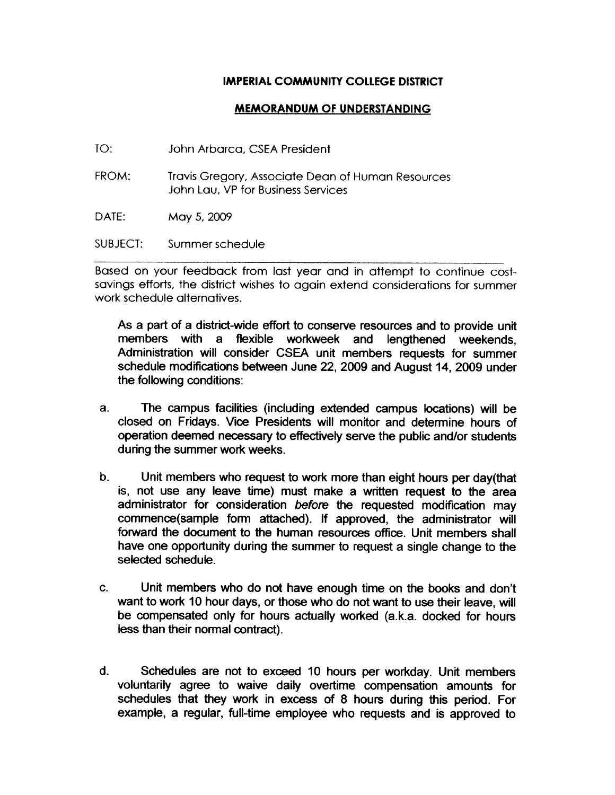#### **IMPERIAL COMMUNITY COLLEGE DISTRICT**

#### **MEMORANDUM OF UNDERSTANDING**

- $TO:$ John Arbarca, CSEA President
- FROM: Travis Gregory, Associate Dean of Human Resources John Lau, VP for Business Services
- DATE: May 5, 2009

SUBJECT: Summer schedule

Based on your feedback from last year and in attempt to continue costsavings efforts, the district wishes to again extend considerations for summer work schedule alternatives

As a part of a district-wide effort to conserve resources and to provide unit members with a flexible workweek and lengthened weekends. Administration will consider CSEA unit members requests for summer schedule modifications between June 22, 2009 and August 14, 2009 under the following conditions:

- $a<sub>z</sub>$ The campus facilities (including extended campus locations) will be closed on Fridays. Vice Presidents will monitor and determine hours of operation deemed necessary to effectively serve the public and/or students during the summer work weeks.
- $\mathbf b$ . Unit members who request to work more than eight hours per day(that is, not use any leave time) must make a written request to the area administrator for consideration before the requested modification may commence(sample form attached). If approved, the administrator will forward the document to the human resources office. Unit members shall have one opportunity during the summer to request a single change to the selected schedule.
- $\mathbf{C}$ . Unit members who do not have enough time on the books and don't want to work 10 hour days, or those who do not want to use their leave, will be compensated only for hours actually worked (a.k.a. docked for hours less than their normal contract).
- $\mathbf{d}$ . Schedules are not to exceed 10 hours per workday. Unit members voluntarily agree to waive daily overtime compensation amounts for schedules that they work in excess of 8 hours during this period. For example, a regular, full-time employee who requests and is approved to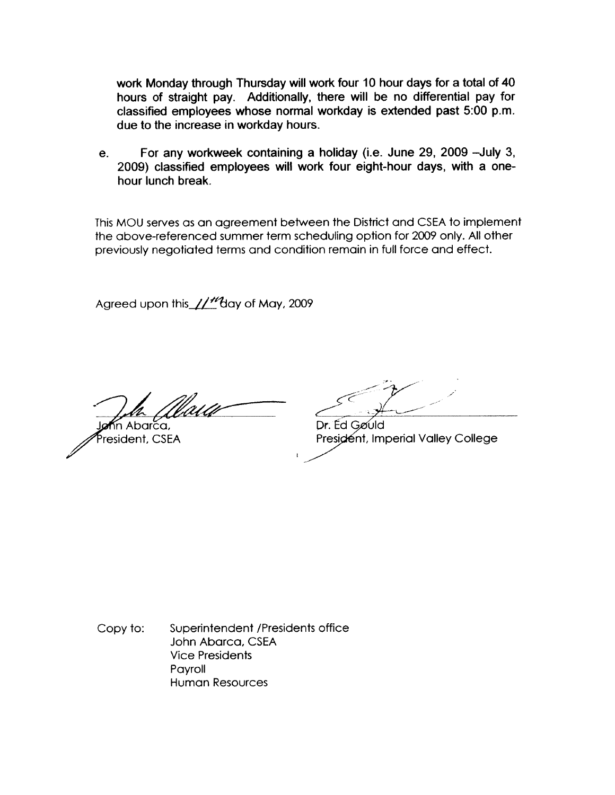work Monday through Thursday will work four 10 hour days for a total of 40 hours of straight pay. Additionally, there will be no differential pay for classified employees whose normal workday is extended past 5:00 p.m. due to the increase in workday hours.

For any workweek containing a holiday (i.e. June 29, 2009 - July 3,  $e<sub>1</sub>$ 2009) classified employees will work four eight-hour days, with a onehour lunch break.

This MOU serves as an agreement between the District and CSEA to implement the above-referenced summer term scheduling option for 2009 only. All other previously negotiated terms and condition remain in full force and effect.

Agreed upon this //"day of May, 2009

m Abarca,

President, CSEA

Dr. Ed Gøuld President, Imperial Valley College

Superintendent /Presidents office Copy to: John Abarca, CSEA **Vice Presidents** Payroll **Human Resources**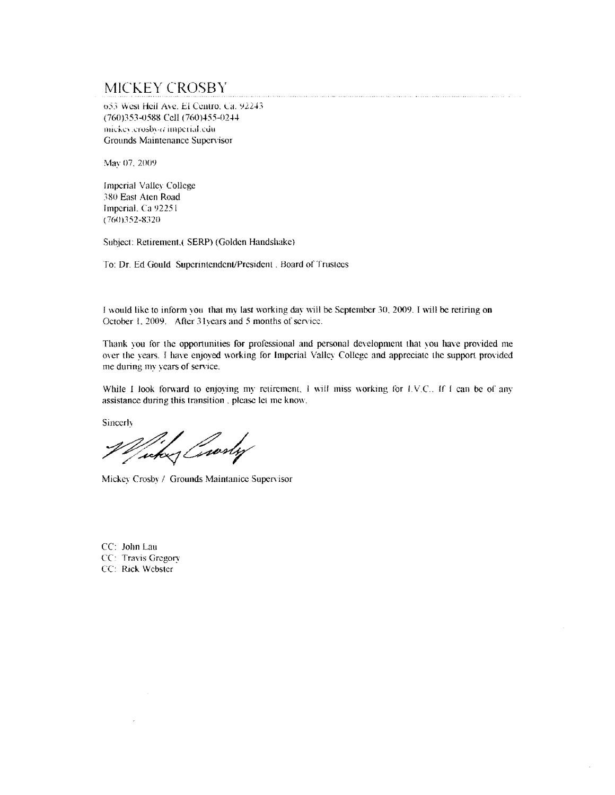## MICKEY CROSBY

653 West Heil Ave. El Centro, Ca. 92243 (760)353-0588 Cell (760)455-0244 mickey.crosby@imperial.edu-Grounds Maintenance Supervisor

May 07, 2009

**Imperial Valley College** 380 East Aten Road Imperial, Ca 92251  $(760)352 - 8320$ 

Subject: Retirement.( SERP) (Golden Handshake)

To: Dr. Ed Gould Superintendent/President, Board of Trustees

I would like to inform you that my last working day will be September 30, 2009. I will be retiring on October 1, 2009. After 31 years and 5 months of service.

Thank you for the opportunities for professional and personal development that you have provided me over the years. I have enjoyed working for Imperial Valley College and appreciate the support provided me during my years of service.

oziedzienienienienien tienak niedrotona paktor az izantom konikzinkovozinkowizowania anz 2004. z 2

While I look forward to enjoying my retirement, I will miss working for I.V.C.. If I can be of any assistance during this transition, please let me know.

Sincerly

Wicker Crosby

Mickey Crosby / Grounds Maintanice Supervisor

CC: John Lau CC: Travis Gregory CC: Rick Webster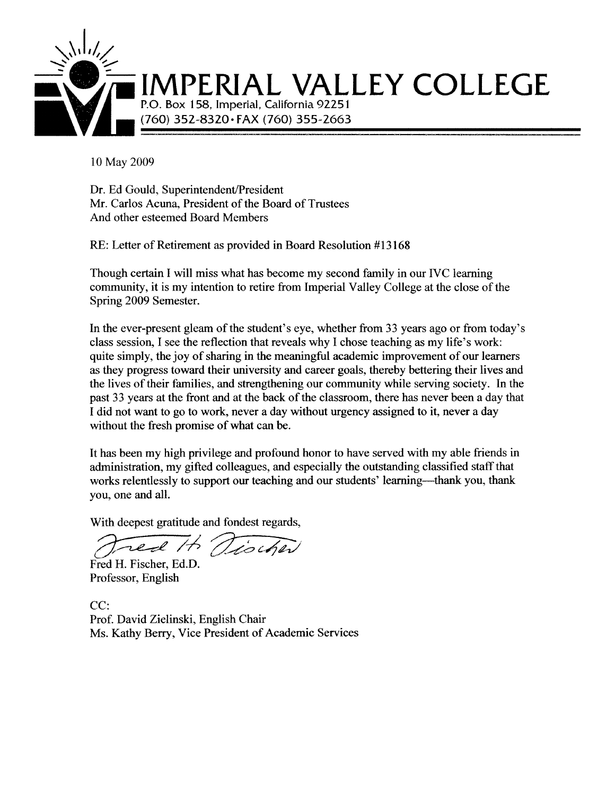

10 May 2009

Dr. Ed Gould, Superintendent/President Mr. Carlos Acuna, President of the Board of Trustees And other esteemed Board Members

RE: Letter of Retirement as provided in Board Resolution #13168

Though certain I will miss what has become my second family in our IVC learning community, it is my intention to retire from Imperial Valley College at the close of the Spring 2009 Semester.

In the ever-present gleam of the student's eve, whether from 33 years ago or from today's class session, I see the reflection that reveals why I chose teaching as my life's work: quite simply, the joy of sharing in the meaningful academic improvement of our learners as they progress toward their university and career goals, thereby bettering their lives and the lives of their families, and strengthening our community while serving society. In the past 33 years at the front and at the back of the classroom, there has never been a day that I did not want to go to work, never a day without urgency assigned to it, never a day without the fresh promise of what can be.

It has been my high privilege and profound honor to have served with my able friends in administration, my gifted colleagues, and especially the outstanding classified staff that works relentlessly to support our teaching and our students' learning—thank you, thank you, one and all.

With deepest gratitude and fondest regards,

red It Tischer

Fred H. Fischer, Ed.D. Professor, English

 $CC:$ Prof. David Zielinski, English Chair Ms. Kathy Berry, Vice President of Academic Services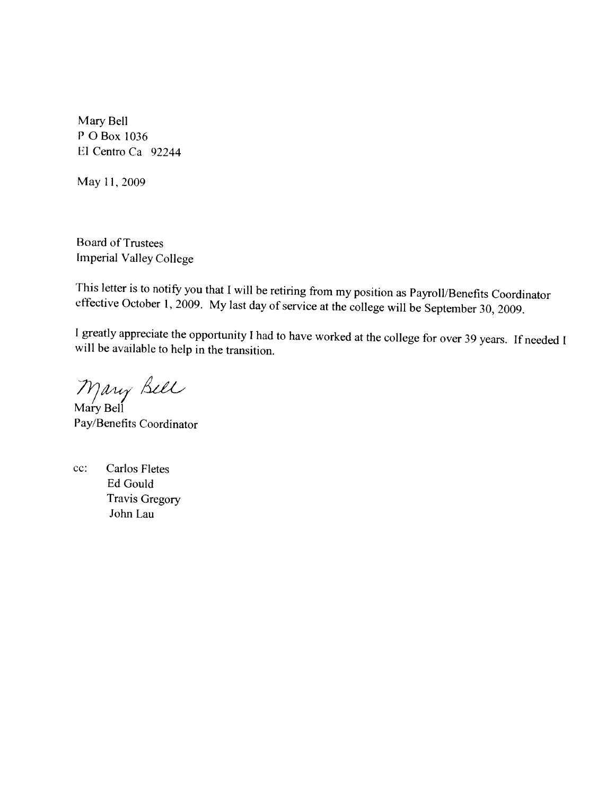Mary Bell P O Box 1036 El Centro Ca 92244

May 11, 2009

**Board of Trustees** Imperial Valley College

This letter is to notify you that I will be retiring from my position as Payroll/Benefits Coordinator effective October 1, 2009. My last day of service at the college will be September 30, 2009.

I greatly appreciate the opportunity I had to have worked at the college for over 39 years. If needed I will be available to help in the transition.

Mary Bell<br>Mary Bell

Pay/Benefits Coordinator

 $cc$ : **Carlos Fletes** Ed Gould **Travis Gregory** John Lau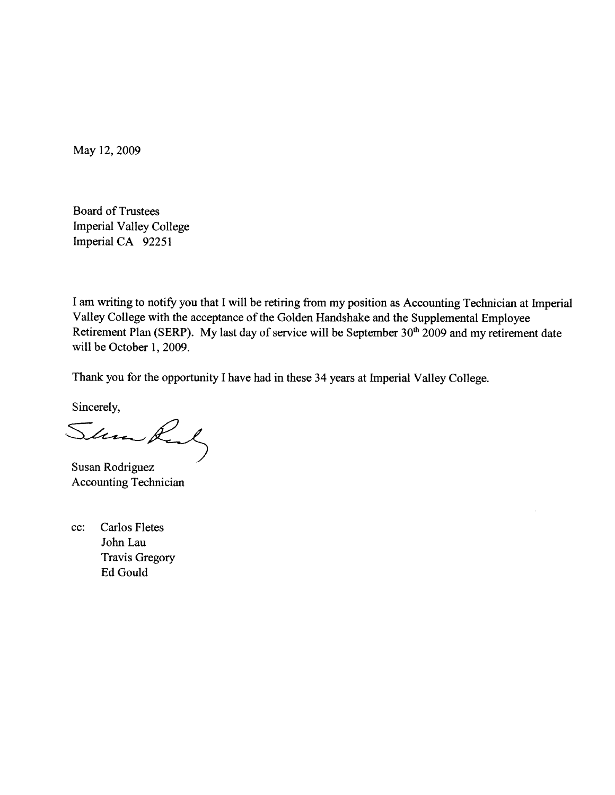May 12, 2009

**Board of Trustees Imperial Valley College** Imperial CA 92251

I am writing to notify you that I will be retiring from my position as Accounting Technician at Imperial Valley College with the acceptance of the Golden Handshake and the Supplemental Employee Retirement Plan (SERP). My last day of service will be September 30<sup>th</sup> 2009 and my retirement date will be October 1, 2009.

Thank you for the opportunity I have had in these 34 years at Imperial Valley College.

Sincerely,

Simmon,

Susan Rodriguez **Accounting Technician** 

**Carlos Fletes**  $cc$ : John Lau **Travis Gregory** Ed Gould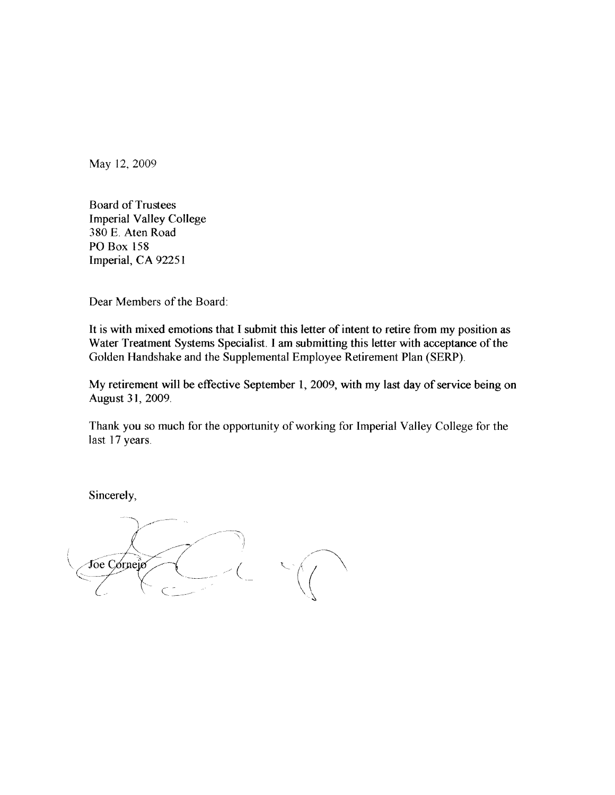May 12, 2009

**Board of Trustees Imperial Valley College** 380 E. Aten Road **PO Box 158** Imperial, CA 92251

Dear Members of the Board:

It is with mixed emotions that I submit this letter of intent to retire from my position as Water Treatment Systems Specialist. I am submitting this letter with acceptance of the Golden Handshake and the Supplemental Employee Retirement Plan (SERP).

My retirement will be effective September 1, 2009, with my last day of service being on August 31, 2009.

Thank you so much for the opportunity of working for Imperial Valley College for the last 17 years.

Sincerely,

Joe Corneio